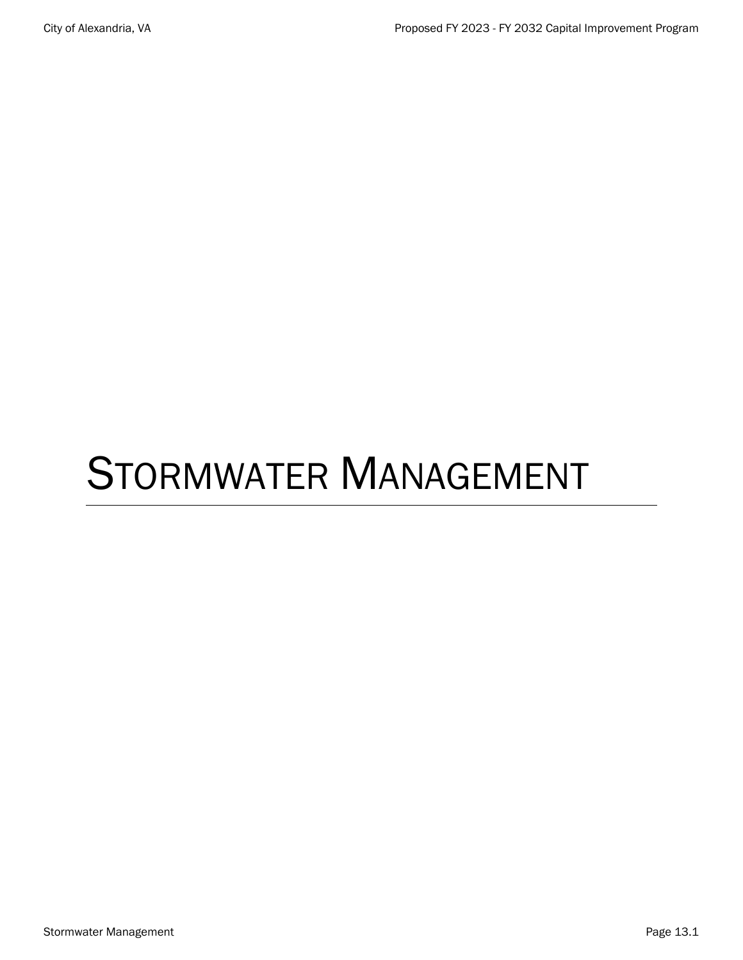# STORMWATER MANAGEMENT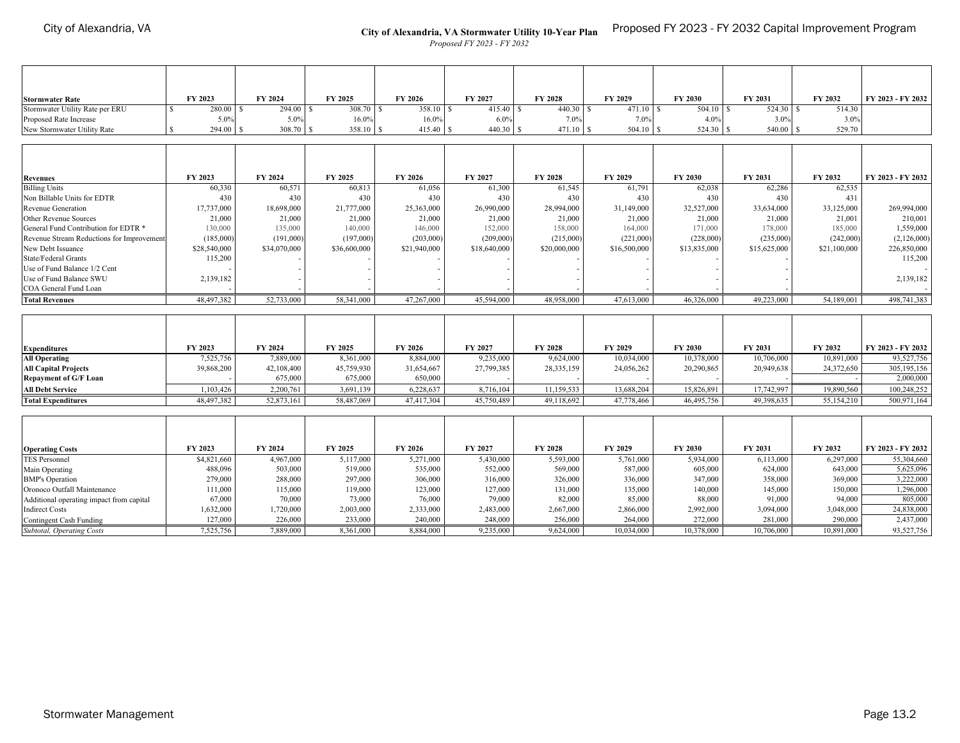#### **City of Alexandria, VA Stormwater Utility 10-Year Plan** Proposed FY 2023 - FY 2032 Capital Improvement Program

*Proposed FY 2023 - FY 2032*

| <b>Stormwater Rate</b>          | FY 2023       | FY 2024      | FY 2025      | FY 2026 | FY 2027       | FY 2028     | FY 2029     | FY 2030 | FY 2031   | FY 2032 | FY 2023 - FY 2032 |
|---------------------------------|---------------|--------------|--------------|---------|---------------|-------------|-------------|---------|-----------|---------|-------------------|
| Stormwater Utility Rate per ERU | $280.00$ \ \; | $294.00$ \\$ | $308.70$ \\$ | 358.10  | 415.40 \$     | 440.30      | 471.10      | 504.10  | 524.30 \$ | 514.30  |                   |
| Proposed Rate Increase          | 5.0%          | 5.0%         | 16.0%        | 16.0%   | 6.0%          | 7.0%        | 7.0%        | 4.0%    | 3.0%      | 3.0%    |                   |
| New Stormwater Utility Rate     | 294.00 \$     | 308.70       |              | 415.40  | $440.30$ \ \; | $471.10$ \$ | $504.10$ \; | 524.30  | 540.00 \$ | 529.70  |                   |

| <b>Revenues</b>                           | FY 2023      | FY 2024      | FY 2025      | FY 2026      | FY 2027      | <b>FY 2028</b> | FY 2029      | <b>FY 2030</b> | FY 2031      | FY 2032      | FY 2023 - FY 2032 |
|-------------------------------------------|--------------|--------------|--------------|--------------|--------------|----------------|--------------|----------------|--------------|--------------|-------------------|
| <b>Billing Units</b>                      | 60,330       | 60.571       | 60,813       | 61,056       | 61,300       | 61,545         | 61.791       | 62,038         | 62,286       | 62,535       |                   |
| Non Billable Units for EDTR               | 430          | 430          | 430          | 430          | 430          | 430            | 430          | 430            | 430          | 431          |                   |
| Revenue Generation                        | 17,737,000   | 18,698,000   | 21,777,000   | 25,363,000   | 26,990,000   | 28,994,000     | 31,149,000   | 32,527,000     | 33,634,000   | 33,125,000   | 269,994,000       |
| Other Revenue Sources                     | 21,000       | 21,000       | 21,000       | 21,000       | 21,000       | 21,000         | 21,000       | 21,000         | 21,000       | 21,001       | 210,001           |
| General Fund Contribution for EDTR *      | 130,000      | 135,000      | 140,000      | 146,000      | 152,000      | 158,000        | 164,000      | 171,000        | 178,000      | 185,000      | 1,559,000         |
| Revenue Stream Reductions for Improvement | (185,000)    | (191,000)    | (197,000)    | (203,000)    | (209,000)    | (215,000)      | (221,000)    | (228,000)      | (235,000)    | (242,000)    | (2,126,000)       |
| New Debt Issuance                         | \$28,540,000 | \$34,070,000 | \$36,600,000 | \$21,940,000 | \$18,640,000 | \$20,000,000   | \$16,500,000 | \$13,835,000   | \$15,625,000 | \$21,100,000 | 226,850,000       |
| State/Federal Grants                      | 115,200      |              |              |              |              |                |              |                |              |              | 115,200           |
| Use of Fund Balance 1/2 Cent              |              |              |              |              |              |                |              |                |              |              |                   |
| Use of Fund Balance SWU                   | 2,139,182    |              |              |              |              |                |              |                |              |              | 2,139,182         |
| COA General Fund Loan                     |              |              |              |              |              |                |              |                |              |              |                   |
| <b>Total Revenues</b>                     | 48,497,382   | 52,733,000   | 58,341,000   | 47,267,000   | 45,594,000   | 48,958,000     | 47,613,000   | 46,326,000     | 49,223,000   | 54,189,001   | 498,741,383       |

| <b>Expenditures</b>          | FY 2023    | FY 2024    | FY 2025    | FY 2026    | FY 2027    | <b>FY 2028</b> | FY 2029    | FY 2030    | FY 2031    | FY 2032    | FY 2023 - FY 2032 |
|------------------------------|------------|------------|------------|------------|------------|----------------|------------|------------|------------|------------|-------------------|
| <b>All Operating</b>         | 7,525,756  | 7,889,000  | 8,361,000  | 8,884,000  | 9,235,000  | 9,624,000      | 10,034,000 | 10,378,000 | 10,706,000 | 10,891,000 | 93,527,756        |
| <b>All Capital Projects</b>  | 39,868,200 | 42,108,400 | 45,759,930 | 31,654,667 | 27,799,385 | 28,335,159     | 24,056,262 | 20,290,865 | 20,949,638 | 24,372,650 | 305, 195, 156     |
| <b>Repayment of G/F Loan</b> |            | 675,000    | 675,000    | 650,000    |            |                |            |            |            |            | 2,000,000         |
| <b>All Debt Service</b>      | 1,103,426  | 2,200,761  | 3,691,139  | 6,228,637  | 8,716,104  | 11,159,533     | 13,688,204 | 15,826,891 | 17,742,997 | 19,890,560 | 100,248,252       |
| <b>Total Expenditures</b>    | 48,497,382 | 52,873,161 | 58,487,069 | 47,417,304 | 45,750,489 | 49,118,692     | 47,778,466 | 46,495,756 | 49,398,635 | 55,154,210 | 500,971,164       |

| <b>Operating Costs</b>                   | FY 2023     | FY 2024   | FY 2025   | FY 2026   | FY 2027   | <b>FY 2028</b> | FY 2029    | FY 2030    | FY 2031    | FY 2032    | FY 2023 - FY 2032 |
|------------------------------------------|-------------|-----------|-----------|-----------|-----------|----------------|------------|------------|------------|------------|-------------------|
| <b>TES Personnel</b>                     | \$4,821,660 | 4,967,000 | 5,117,000 | 5,271,000 | 5,430,000 | 5,593,000      | 5,761,000  | 5,934,000  | 6,113,000  | 6.297,000  | 55,304,660        |
| Main Operating                           | 488,096     | 503,000   | 519,000   | 535,000   | 552,000   | 569,000        | 587,000    | 605,000    | 624,000    | 643,000    | 5,625,096         |
| <b>BMP's Operation</b>                   | 279,000     | 288,000   | 297,000   | 306,000   | 316,000   | 326,000        | 336,000    | 347,000    | 358,000    | 369,000    | 3.222,000         |
| Oronoco Outfall Maintenance              | 111,000     | 115,000   | 119,000   | 123,000   | 127,000   | 131,000        | 135,000    | 140,000    | 145,000    | 150,000    | .296,000          |
| Additional operating impact from capital | 67,000      | 70,000    | 73,000    | 76,000    | 79,000    | 82,000         | 85,000     | 88,000     | 91,000     | 94,000     | 805,000           |
| <b>Indirect Costs</b>                    | 1,632,000   | 1,720,000 | 2,003,000 | 2,333,000 | 2,483,000 | 2,667,000      | 2,866,000  | 2,992,000  | 3,094,000  | 3,048,000  | 24,838,000        |
| Contingent Cash Funding                  | 127,000     | 226,000   | 233,000   | 240,000   | 248,000   | 256,000        | 264,000    | 272,000    | 281,000    | 290,000    | 2,437,000         |
| <b>Subtotal, Operating Costs</b>         | 7,525,756   | 7,889,000 | 8,361,000 | 8,884,000 | 9,235,000 | 9,624,000      | 10,034,000 | 10,378,000 | 10,706,000 | 10,891,000 | 93,527,756        |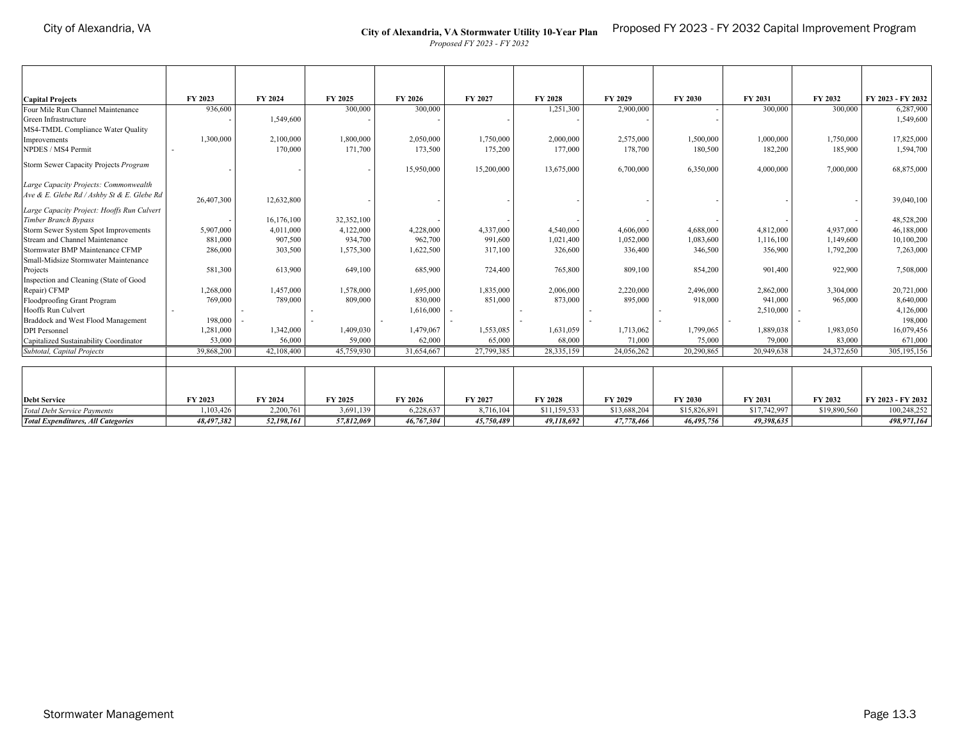### **City of Alexandria, VA Stormwater Utility 10-Year Plan** Proposed FY 2023 - FY 2032 Capital Improvement Program

*Proposed FY 2023 - FY 2032*

| <b>Capital Projects</b>                    | FY 2023    | FY 2024    | FY 2025    | FY 2026    | FY 2027    | FY 2028      | FY 2029      | FY 2030      | FY 2031      | FY 2032      | FY 2023 - FY 2032 |
|--------------------------------------------|------------|------------|------------|------------|------------|--------------|--------------|--------------|--------------|--------------|-------------------|
| Four Mile Run Channel Maintenance          | 936,600    |            | 300,000    | 300,000    |            | 1,251,300    | 2,900,000    |              | 300,000      | 300,000      | 6,287,900         |
| Green Infrastructure                       |            | 1,549,600  |            |            |            |              |              |              |              |              | 1,549,600         |
| MS4-TMDL Compliance Water Quality          |            |            |            |            |            |              |              |              |              |              |                   |
| Improvements                               | 1,300,000  | 2,100,000  | 1,800,000  | 2,050,000  | 1,750,000  | 2,000,000    | 2,575,000    | 1,500,000    | 1,000,000    | 1,750,000    | 17,825,000        |
| NPDES / MS4 Permit                         |            | 170,000    | 171,700    | 173,500    | 175,200    | 177,000      | 178,700      | 180,500      | 182,200      | 185,900      | 1,594,700         |
| Storm Sewer Capacity Projects Program      |            |            |            | 15,950,000 | 15,200,000 | 13,675,000   | 6,700,000    | 6,350,000    | 4,000,000    | 7,000,000    | 68,875,000        |
| Large Capacity Projects: Commonwealth      |            |            |            |            |            |              |              |              |              |              |                   |
| Ave & E. Glebe Rd / Ashby St & E. Glebe Rd | 26,407,300 | 12,632,800 |            |            |            |              |              |              |              |              | 39,040,100        |
| Large Capacity Project: Hooffs Run Culvert |            |            |            |            |            |              |              |              |              |              |                   |
| Timber Branch Bypass                       |            | 16,176,100 | 32,352,100 |            |            |              |              |              |              |              | 48,528,200        |
| Storm Sewer System Spot Improvements       | 5,907,000  | 4,011,000  | 4,122,000  | 4,228,000  | 4,337,000  | 4,540,000    | 4,606,000    | 4,688,000    | 4,812,000    | 4,937,000    | 46,188,000        |
| Stream and Channel Maintenance             | 881,000    | 907,500    | 934,700    | 962,700    | 991,600    | 1,021,400    | 1,052,000    | 1,083,600    | 1,116,100    | 1,149,600    | 10,100,200        |
| Stormwater BMP Maintenance CFMP            | 286,000    | 303,500    | 1,575,300  | 1,622,500  | 317,100    | 326,600      | 336,400      | 346,500      | 356,900      | 1,792,200    | 7,263,000         |
| Small-Midsize Stormwater Maintenance       |            |            |            |            |            |              |              |              |              |              |                   |
| Projects                                   | 581,300    | 613,900    | 649,100    | 685,900    | 724,400    | 765,800      | 809,100      | 854,200      | 901,400      | 922,900      | 7,508,000         |
| Inspection and Cleaning (State of Good     |            |            |            |            |            |              |              |              |              |              |                   |
| Repair) CFMP                               | 1,268,000  | 1,457,000  | 1,578,000  | 1,695,000  | 1,835,000  | 2,006,000    | 2,220,000    | 2,496,000    | 2,862,000    | 3,304,000    | 20,721,000        |
| Floodproofing Grant Program                | 769,000    | 789,000    | 809,000    | 830,000    | 851,000    | 873,000      | 895,000      | 918,000      | 941,000      | 965,000      | 8,640,000         |
| Hooffs Run Culvert                         |            |            |            | 1,616,000  |            |              |              |              | 2,510,000    |              | 4,126,000         |
| Braddock and West Flood Management         | 198,000    |            |            |            |            |              |              |              |              |              | 198,000           |
| <b>DPI</b> Personnel                       | 1,281,000  | 1,342,000  | 1,409,030  | 1,479,067  | 1,553,085  | 1,631,059    | 1,713,062    | 1,799,065    | 1,889,038    | 1,983,050    | 16,079,456        |
| Capitalized Sustainability Coordinator     | 53,000     | 56,000     | 59,000     | 62,000     | 65,000     | 68,000       | 71,000       | 75,000       | 79,000       | 83,000       | 671,000           |
| Subtotal, Capital Projects                 | 39,868,200 | 42,108,400 | 45,759,930 | 31,654,667 | 27,799,385 | 28,335,159   | 24,056,262   | 20,290,865   | 20,949,638   | 24,372,650   | 305,195,156       |
|                                            |            |            |            |            |            |              |              |              |              |              |                   |
| <b>Debt Service</b>                        | FY 2023    | FY 2024    | FY 2025    | FY 2026    | FY 2027    | FY 2028      | FY 2029      | FY 2030      | FY 2031      | FY 2032      | FY 2023 - FY 2032 |
| <b>Total Debt Service Payments</b>         | 1,103,426  | 2,200,761  | 3,691,139  | 6,228,637  | 8,716,104  | \$11,159,533 | \$13,688,204 | \$15,826,891 | \$17,742,997 | \$19,890,560 | 100,248,252       |
| <b>Total Expenditures, All Categories</b>  | 48,497,382 | 52,198,161 | 57,812,069 | 46,767,304 | 45,750,489 | 49.118.692   | 47,778,466   | 46,495,756   | 49.398.635   |              | 498.971.164       |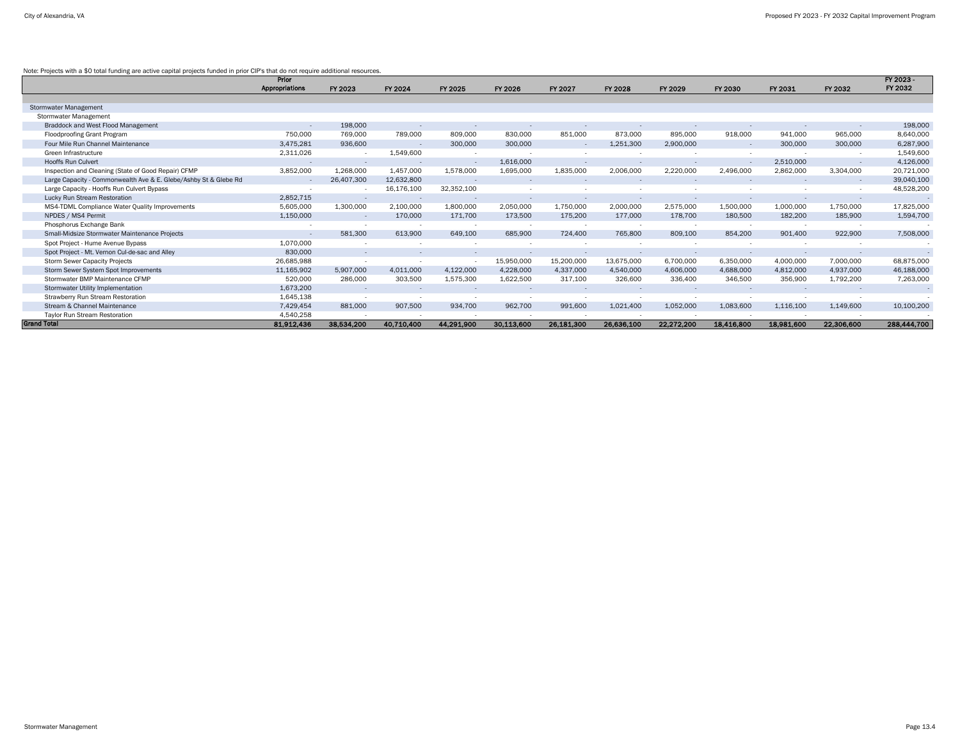# Note: Projects with a \$0 total funding are active capital projects funded in prior CIP's that do not require additional resources.

|                                                                  | Prior          |            |            |            |            |            |            |            |            |            |                | FY 2023 -   |
|------------------------------------------------------------------|----------------|------------|------------|------------|------------|------------|------------|------------|------------|------------|----------------|-------------|
|                                                                  | Appropriations | FY 2023    | FY 2024    | FY 2025    | FY 2026    | FY 2027    | FY 2028    | FY 2029    | FY 2030    | FY 2031    | FY 2032        | FY 2032     |
|                                                                  |                |            |            |            |            |            |            |            |            |            |                |             |
| <b>Stormwater Management</b>                                     |                |            |            |            |            |            |            |            |            |            |                |             |
| <b>Stormwater Management</b>                                     |                |            |            |            |            |            |            |            |            |            |                |             |
| Braddock and West Flood Management                               | $\sim$         | 198,000    |            |            |            |            |            |            |            |            |                | 198,000     |
| <b>Floodproofing Grant Program</b>                               | 750,000        | 769,000    | 789,000    | 809,000    | 830,000    | 851,000    | 873,000    | 895,000    | 918,000    | 941,000    | 965,000        | 8,640,000   |
| Four Mile Run Channel Maintenance                                | 3,475,281      | 936,600    |            | 300,000    | 300,000    | $\sim$     | 1,251,300  | 2,900,000  |            | 300,000    | 300,000        | 6,287,900   |
| Green Infrastructure                                             | 2,311,026      | $\sim$     | 1,549,600  |            |            |            |            |            |            |            |                | 1,549,600   |
| <b>Hooffs Run Culvert</b>                                        | $\sim$         | $\sim$     |            | $\sim$     | 1,616,000  |            |            |            |            | 2,510,000  |                | 4,126,000   |
| Inspection and Cleaning (State of Good Repair) CFMP              | 3,852,000      | 1,268,000  | 1,457,000  | 1,578,000  | 1,695,000  | 1,835,000  | 2,006,000  | 2,220,000  | 2,496,000  | 2,862,000  | 3,304,000      | 20,721,000  |
| Large Capacity - Commonwealth Ave & E. Glebe/Ashby St & Glebe Rd |                | 26,407,300 | 12,632,800 |            |            |            |            |            |            |            | $\sim$ $ \sim$ | 39,040,100  |
| Large Capacity - Hooffs Run Culvert Bypass                       |                |            | 16,176,100 | 32,352,100 |            |            |            |            |            |            |                | 48,528,200  |
| Lucky Run Stream Restoration                                     | 2,852,715      |            |            |            |            |            |            |            |            |            |                |             |
| MS4-TDML Compliance Water Quality Improvements                   | 5,605,000      | 1,300,000  | 2,100,000  | 1,800,000  | 2,050,000  | 1,750,000  | 2,000,000  | 2,575,000  | 1,500,000  | 1,000,000  | 1,750,000      | 17,825,000  |
| NPDES / MS4 Permit                                               | 1,150,000      | $\sim$     | 170,000    | 171,700    | 173,500    | 175,200    | 177,000    | 178,700    | 180,500    | 182,200    | 185,900        | 1,594,700   |
| Phosphorus Exchange Bank                                         |                |            |            |            |            |            |            |            |            |            |                |             |
| Small-Midsize Stormwater Maintenance Projects                    | $\sim$         | 581,300    | 613,900    | 649,100    | 685,900    | 724,400    | 765,800    | 809,100    | 854,200    | 901,400    | 922,900        | 7,508,000   |
| Spot Project - Hume Avenue Bypass                                | 1,070,000      |            |            |            |            |            |            |            |            |            |                |             |
| Spot Project - Mt. Vernon Cul-de-sac and Alley                   | 830,000        | $\sim$     | $\sim$     |            |            |            |            |            |            |            |                |             |
| <b>Storm Sewer Capacity Projects</b>                             | 26,685,988     |            |            | $-$        | 15,950,000 | 15,200,000 | 13,675,000 | 6,700,000  | 6,350,000  | 4,000,000  | 7,000,000      | 68,875,000  |
| Storm Sewer System Spot Improvements                             | 11,165,902     | 5,907,000  | 4,011,000  | 4,122,000  | 4,228,000  | 4,337,000  | 4,540,000  | 4,606,000  | 4,688,000  | 4,812,000  | 4,937,000      | 46,188,000  |
| Stormwater BMP Maintenance CFMP                                  | 520,000        | 286,000    | 303,500    | 1,575,300  | 1,622,500  | 317,100    | 326,600    | 336,400    | 346,500    | 356,900    | 1,792,200      | 7,263,000   |
| Stormwater Utility Implementation                                | 1,673,200      |            |            |            |            |            |            |            |            |            |                | $\sim$      |
| <b>Strawberry Run Stream Restoration</b>                         | 1,645,138      |            |            |            |            |            |            |            |            |            |                |             |
| Stream & Channel Maintenance                                     | 7,429,454      | 881,000    | 907,500    | 934,700    | 962,700    | 991,600    | 1,021,400  | 1,052,000  | 1,083,600  | 1,116,100  | 1,149,600      | 10,100,200  |
| Taylor Run Stream Restoration                                    | 4,540,258      |            |            |            |            |            |            |            |            |            |                |             |
| <b>Grand Total</b>                                               | 81,912,436     | 38,534,200 | 40,710,400 | 44,291,900 | 30,113,600 | 26,181,300 | 26,636,100 | 22,272,200 | 18,416,800 | 18,981,600 | 22,306,600     | 288,444,700 |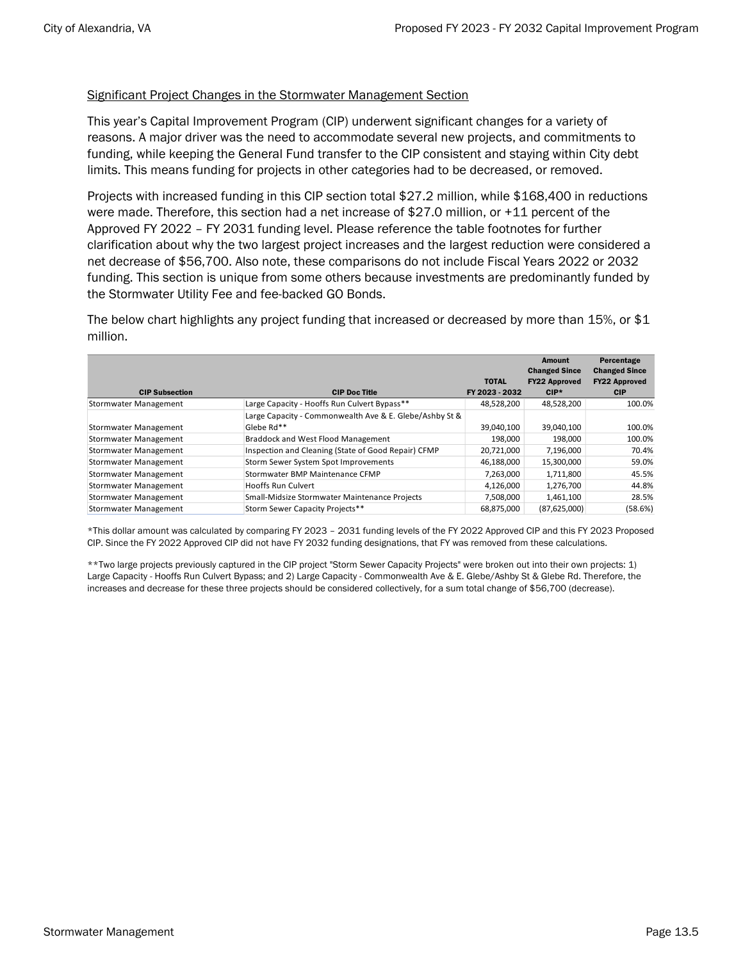# Significant Project Changes in the Stormwater Management Section

This year's Capital Improvement Program (CIP) underwent significant changes for a variety of reasons. A major driver was the need to accommodate several new projects, and commitments to funding, while keeping the General Fund transfer to the CIP consistent and staying within City debt limits. This means funding for projects in other categories had to be decreased, or removed.

Projects with increased funding in this CIP section total \$27.2 million, while \$168,400 in reductions were made. Therefore, this section had a net increase of \$27.0 million, or +11 percent of the Approved FY 2022 – FY 2031 funding level. Please reference the table footnotes for further clarification about why the two largest project increases and the largest reduction were considered a net decrease of \$56,700. Also note, these comparisons do not include Fiscal Years 2022 or 2032 funding. This section is unique from some others because investments are predominantly funded by the Stormwater Utility Fee and fee-backed GO Bonds.

The below chart highlights any project funding that increased or decreased by more than 15%, or \$1 million.

|                              |                                                         |                                | <b>Amount</b><br><b>Changed Since</b> | Percentage<br><b>Changed Since</b> |
|------------------------------|---------------------------------------------------------|--------------------------------|---------------------------------------|------------------------------------|
| <b>CIP Subsection</b>        | <b>CIP Doc Title</b>                                    | <b>TOTAL</b><br>FY 2023 - 2032 | <b>FY22 Approved</b><br>$CIP*$        | <b>FY22 Approved</b><br><b>CIP</b> |
| <b>Stormwater Management</b> | Large Capacity - Hooffs Run Culvert Bypass**            | 48,528,200                     | 48,528,200                            | 100.0%                             |
|                              | Large Capacity - Commonwealth Ave & E. Glebe/Ashby St & |                                |                                       |                                    |
| <b>Stormwater Management</b> | Glebe Rd**                                              | 39,040,100                     | 39,040,100                            | 100.0%                             |
| <b>Stormwater Management</b> | Braddock and West Flood Management                      | 198.000                        | 198.000                               | 100.0%                             |
| <b>Stormwater Management</b> | Inspection and Cleaning (State of Good Repair) CFMP     | 20,721,000                     | 7,196,000                             | 70.4%                              |
| Stormwater Management        | Storm Sewer System Spot Improvements                    | 46,188,000                     | 15,300,000                            | 59.0%                              |
| <b>Stormwater Management</b> | Stormwater BMP Maintenance CFMP                         | 7,263,000                      | 1,711,800                             | 45.5%                              |
| <b>Stormwater Management</b> | <b>Hooffs Run Culvert</b>                               | 4,126,000                      | 1,276,700                             | 44.8%                              |
| <b>Stormwater Management</b> | Small-Midsize Stormwater Maintenance Projects           | 7,508,000                      | 1,461,100                             | 28.5%                              |
| <b>Stormwater Management</b> | Storm Sewer Capacity Projects**                         | 68,875,000                     | (87,625,000)                          | (58.6%)                            |

\*This dollar amount was calculated by comparing FY 2023 – 2031 funding levels of the FY 2022 Approved CIP and this FY 2023 Proposed CIP. Since the FY 2022 Approved CIP did not have FY 2032 funding designations, that FY was removed from these calculations.

\*\*Two large projects previously captured in the CIP project "Storm Sewer Capacity Projects" were broken out into their own projects: 1) Large Capacity - Hooffs Run Culvert Bypass; and 2) Large Capacity - Commonwealth Ave & E. Glebe/Ashby St & Glebe Rd. Therefore, the increases and decrease for these three projects should be considered collectively, for a sum total change of \$56,700 (decrease).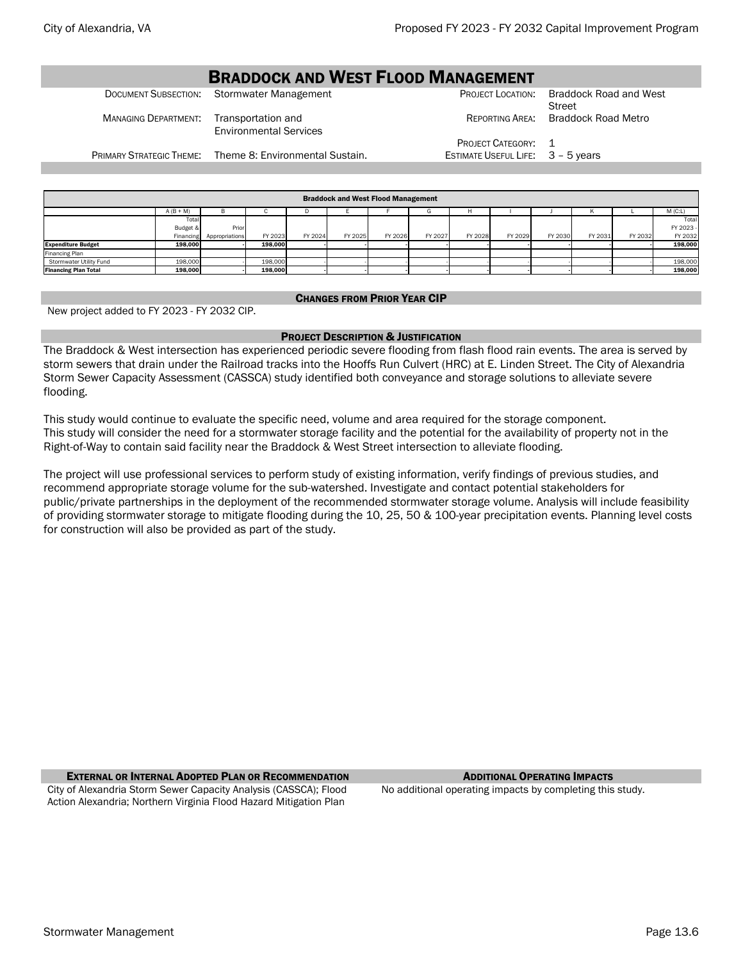# **BRADDOCK AND WEST FLOOD MANAGEMENT**<br>Stormwater Management DOCUMENT SUBSECTION: Stormwater Management PROJECT LOCATION: Braddock Road and West Street MANAGING DEPARTMENT: Transportation and Environmental Services REPORTING AREA: Braddock Road Metro PROJECT CATEGORY: 1 PRIMARY STRATEGIC THEME: Theme 8: Environmental Sustain. ESTIMATE USEFUL LIFE: 3 - 5 years

| <b>Braddock and West Flood Management</b> |           |                |         |         |         |         |         |         |         |         |         |         |           |
|-------------------------------------------|-----------|----------------|---------|---------|---------|---------|---------|---------|---------|---------|---------|---------|-----------|
| $M$ (C:L)<br>$A (B + M)$<br>в<br>         |           |                |         |         |         |         |         |         |         |         |         |         |           |
|                                           | Total     |                |         |         |         |         |         |         |         |         |         |         | Total     |
|                                           | Budget &  | Prior          |         |         |         |         |         |         |         |         |         |         | FY 2023 - |
|                                           | Financing | Appropriations | FY 2023 | FY 2024 | FY 2025 | FY 2026 | FY 2027 | FY 2028 | FY 2029 | FY 2030 | FY 2031 | FY 2032 | FY 2032   |
| <b>Expenditure Budget</b>                 | 198.000   |                | 198.000 |         |         |         |         |         |         |         |         |         | 198,000   |
| Financing Plan                            |           |                |         |         |         |         |         |         |         |         |         |         |           |
| Stormwater Utility Fund                   | 198,000   |                | 198,000 |         |         |         |         |         |         |         |         |         | 198,000   |
| <b>Financing Plan Total</b>               | 198,000   |                | 198,000 |         |         |         |         |         |         |         |         |         | 198,000   |

#### CHANGES FROM PRIOR YEAR CIP

New project added to FY 2023 - FY 2032 CIP.

# PROJECT DESCRIPTION & JUSTIFICATION

The Braddock & West intersection has experienced periodic severe flooding from flash flood rain events. The area is served by storm sewers that drain under the Railroad tracks into the Hooffs Run Culvert (HRC) at E. Linden Street. The City of Alexandria Storm Sewer Capacity Assessment (CASSCA) study identified both conveyance and storage solutions to alleviate severe flooding.

This study would continue to evaluate the specific need, volume and area required for the storage component. This study will consider the need for a stormwater storage facility and the potential for the availability of property not in the Right-of-Way to contain said facility near the Braddock & West Street intersection to alleviate flooding.

The project will use professional services to perform study of existing information, verify findings of previous studies, and recommend appropriate storage volume for the sub-watershed. Investigate and contact potential stakeholders for public/private partnerships in the deployment of the recommended stormwater storage volume. Analysis will include feasibility of providing stormwater storage to mitigate flooding during the 10, 25, 50 & 100-year precipitation events. Planning level costs for construction will also be provided as part of the study.

**EXTERNAL OR INTERNAL ADOPTED PLAN OR RECOMMENDATION** ADDITIONAL **OPERATING IMPACTS** 

City of Alexandria Storm Sewer Capacity Analysis (CASSCA); Flood Action Alexandria; Northern Virginia Flood Hazard Mitigation Plan

No additional operating impacts by completing this study.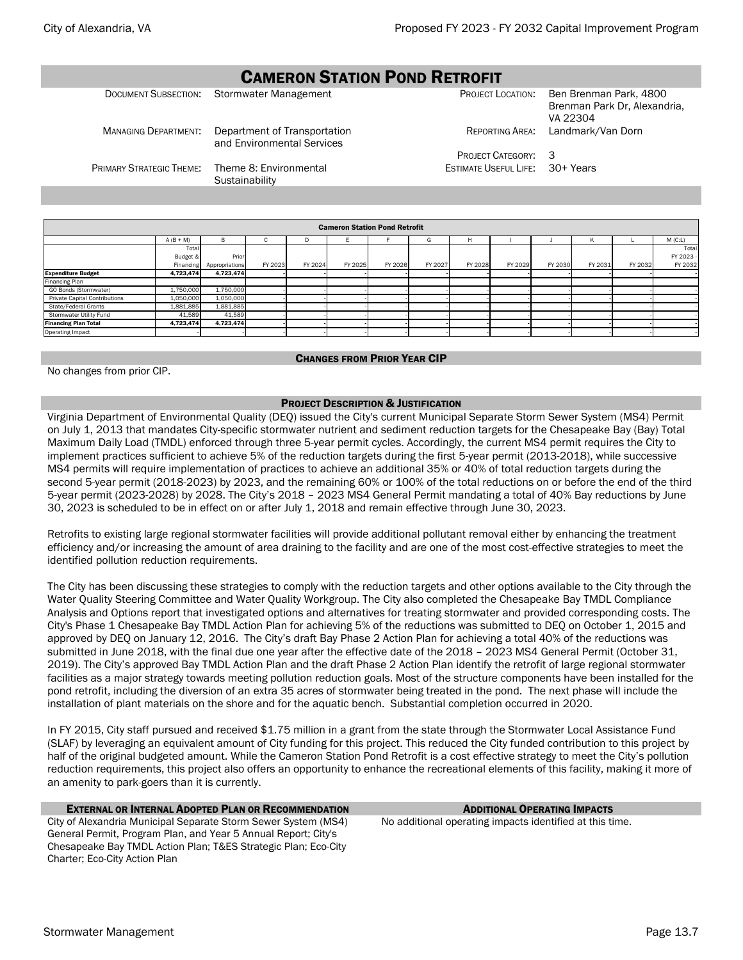# CAMERON STATION POND RETROFIT

|                             | DOCUMENT SUBSECTION: Stormwater Management                 |                                        | PROJECT LOCATION: Ben Brenman Park, 4800<br>Brenman Park Dr, Alexandria,<br>VA 22304 |
|-----------------------------|------------------------------------------------------------|----------------------------------------|--------------------------------------------------------------------------------------|
| <b>MANAGING DEPARTMENT:</b> | Department of Transportation<br>and Environmental Services |                                        | REPORTING AREA: Landmark/Van Dorn                                                    |
|                             |                                                            | <b>PROJECT CATEGORY: 3</b>             |                                                                                      |
| PRIMARY STRATEGIC THEME:    | Theme 8: Environmental<br>Sustainability                   | <b>ESTIMATE USEFUL LIFE: 30+ Years</b> |                                                                                      |

| <b>Cameron Station Pond Retrofit</b> |             |                |         |         |         |         |         |         |         |         |         |         |         |
|--------------------------------------|-------------|----------------|---------|---------|---------|---------|---------|---------|---------|---------|---------|---------|---------|
|                                      | $A (B + M)$ | B              | ι.      | D       |         |         | G       | н       |         |         | Κ       |         | M(C:L)  |
|                                      | Total       |                |         |         |         |         |         |         |         |         |         |         | Total   |
|                                      | Budget &    | Prior          |         |         |         |         |         |         |         |         |         |         | FY 2023 |
|                                      | Financing   | Appropriations | FY 2023 | FY 2024 | FY 2025 | FY 2026 | FY 2027 | FY 2028 | FY 2029 | FY 2030 | FY 2031 | FY 2032 | FY 2032 |
| <b>Expenditure Budget</b>            | 4,723,474   | 4,723,474      |         |         |         |         |         |         |         |         |         |         |         |
| Financing Plan                       |             |                |         |         |         |         |         |         |         |         |         |         |         |
| GO Bonds (Stormwater)                | 1,750,000   | 1,750,000      |         |         |         |         |         |         |         |         |         |         |         |
| <b>Private Capital Contributions</b> | 1,050,000   | 1,050,000      |         |         |         |         |         |         |         |         |         |         |         |
| State/Federal Grants                 | 1,881,885   | 1,881,885      |         |         |         |         |         |         |         |         |         |         |         |
| Stormwater Utility Fund              | 41,589      | 41,589         |         |         |         |         |         |         |         |         |         |         |         |
| <b>Financing Plan Total</b>          | 4,723,474   | 4,723,474      |         |         |         |         |         |         |         |         |         |         |         |
| Operating Impact                     |             |                |         |         |         |         |         |         |         |         |         |         |         |

#### CHANGES FROM PRIOR YEAR CIP

No changes from prior CIP.

# PROJECT DESCRIPTION & JUSTIFICATION

Virginia Department of Environmental Quality (DEQ) issued the City's current Municipal Separate Storm Sewer System (MS4) Permit on July 1, 2013 that mandates City-specific stormwater nutrient and sediment reduction targets for the Chesapeake Bay (Bay) Total Maximum Daily Load (TMDL) enforced through three 5-year permit cycles. Accordingly, the current MS4 permit requires the City to implement practices sufficient to achieve 5% of the reduction targets during the first 5-year permit (2013-2018), while successive MS4 permits will require implementation of practices to achieve an additional 35% or 40% of total reduction targets during the second 5-year permit (2018-2023) by 2023, and the remaining 60% or 100% of the total reductions on or before the end of the third 5-year permit (2023-2028) by 2028. The City's 2018 – 2023 MS4 General Permit mandating a total of 40% Bay reductions by June 30, 2023 is scheduled to be in effect on or after July 1, 2018 and remain effective through June 30, 2023.

Retrofits to existing large regional stormwater facilities will provide additional pollutant removal either by enhancing the treatment efficiency and/or increasing the amount of area draining to the facility and are one of the most cost-effective strategies to meet the identified pollution reduction requirements.

The City has been discussing these strategies to comply with the reduction targets and other options available to the City through the Water Quality Steering Committee and Water Quality Workgroup. The City also completed the Chesapeake Bay TMDL Compliance Analysis and Options report that investigated options and alternatives for treating stormwater and provided corresponding costs. The City's Phase 1 Chesapeake Bay TMDL Action Plan for achieving 5% of the reductions was submitted to DEQ on October 1, 2015 and approved by DEQ on January 12, 2016. The City's draft Bay Phase 2 Action Plan for achieving a total 40% of the reductions was submitted in June 2018, with the final due one year after the effective date of the 2018 – 2023 MS4 General Permit (October 31, 2019). The City's approved Bay TMDL Action Plan and the draft Phase 2 Action Plan identify the retrofit of large regional stormwater facilities as a major strategy towards meeting pollution reduction goals. Most of the structure components have been installed for the pond retrofit, including the diversion of an extra 35 acres of stormwater being treated in the pond. The next phase will include the installation of plant materials on the shore and for the aquatic bench. Substantial completion occurred in 2020.

In FY 2015, City staff pursued and received \$1.75 million in a grant from the state through the Stormwater Local Assistance Fund (SLAF) by leveraging an equivalent amount of City funding for this project. This reduced the City funded contribution to this project by half of the original budgeted amount. While the Cameron Station Pond Retrofit is a cost effective strategy to meet the City's pollution reduction requirements, this project also offers an opportunity to enhance the recreational elements of this facility, making it more of an amenity to park-goers than it is currently.

# EXTERNAL OR INTERNAL ADOPTED PLAN OR RECOMMENDATION ADDITIONAL OPERATING IMPACTS

City of Alexandria Municipal Separate Storm Sewer System (MS4) General Permit, Program Plan, and Year 5 Annual Report; City's Chesapeake Bay TMDL Action Plan; T&ES Strategic Plan; Eco-City Charter; Eco-City Action Plan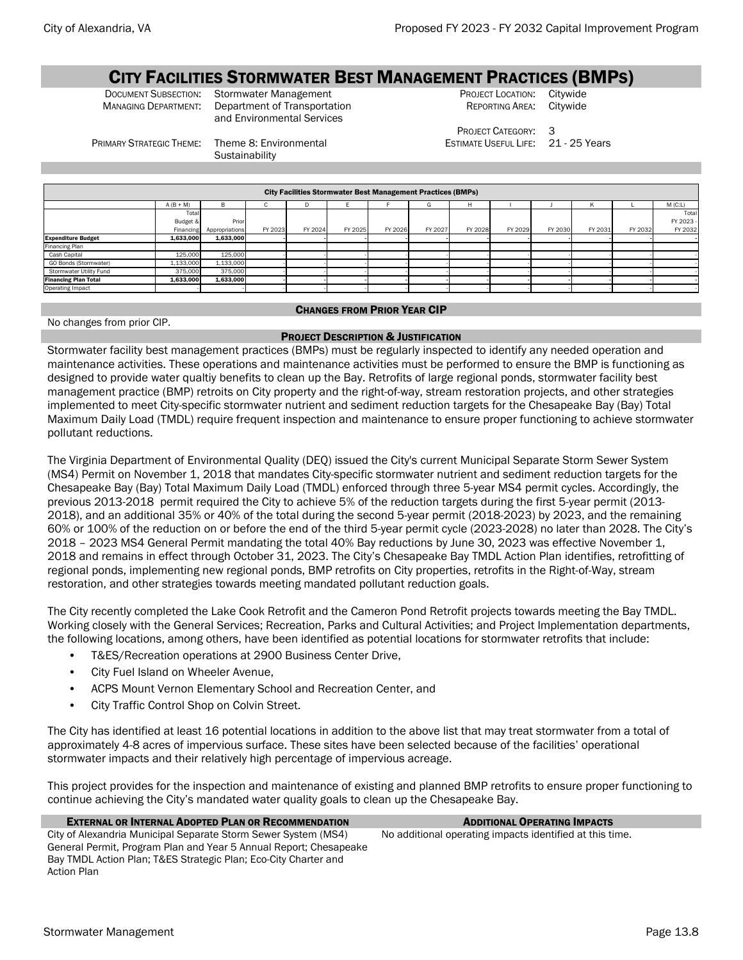# CITY FACILITIES STORMWATER BEST MANAGEMENT PRACTICES (BMPS)<br>Document Subsection: Stormwater Management Project Location: Citywide

PRIMARY STRATEGIC THEME: Theme 8: Environmental

**Sustainability** 

DOCUMENT SUBSECTION: Stormwater Management PROJECT LOCATION: Citywide<br>
MANAGING DEPARTMENT: Department of Transportation REPORTING AREA: Citywide Department of Transportation and Environmental Services

REPORTING AREA:

PROJECT CATEGORY: 3 ESTIMATE USEFUL LIFE: 21 - 25 Years

Total FY 2023 **FY 2033** 

A (B + M) B C D E F G H I J K L M (C:L) Tota Budget Financing Prio Appropriations FY 2023 FY 2024 FY 2025 FY 2026 FY 2027 FY 2028 FY 2029 FY 2030 FY 2031 FY 2032 Expenditure Budget | 1,633,000 | 1,633,000 | - - | - - | - - | - - | - - | - - | - - | - - | - - | - - | - - | - - | - - | - - | - | nancing Plar Cash Capital 125,000 125,000 - - - - - - - - - - - - GO Bonds (Stormwater) | 1,133,000 | 1,033,000 | - - | - - | - - | - - | - - | - -Stormwater Utility Fund 375,000 375,000 - - - - - - - - - - - Financing Plan Total 1,633,000 1,633,000 - - - - - - - - - - - Operating Impact - - - - - - - - - - - - - City Facilities Stormwater Best Management Practices (BMPs)

CHANGES FROM PRIOR YEAR CIP

No changes from prior CIP.

# PROJECT DESCRIPTION & JUSTIFICATION

Stormwater facility best management practices (BMPs) must be regularly inspected to identify any needed operation and maintenance activities. These operations and maintenance activities must be performed to ensure the BMP is functioning as designed to provide water qualtiy benefits to clean up the Bay. Retrofits of large regional ponds, stormwater facility best management practice (BMP) retroits on City property and the right-of-way, stream restoration projects, and other strategies implemented to meet City-specific stormwater nutrient and sediment reduction targets for the Chesapeake Bay (Bay) Total Maximum Daily Load (TMDL) require frequent inspection and maintenance to ensure proper functioning to achieve stormwater pollutant reductions.

The Virginia Department of Environmental Quality (DEQ) issued the City's current Municipal Separate Storm Sewer System (MS4) Permit on November 1, 2018 that mandates City-specific stormwater nutrient and sediment reduction targets for the Chesapeake Bay (Bay) Total Maximum Daily Load (TMDL) enforced through three 5-year MS4 permit cycles. Accordingly, the previous 2013-2018 permit required the City to achieve 5% of the reduction targets during the first 5-year permit (2013- 2018), and an additional 35% or 40% of the total during the second 5-year permit (2018-2023) by 2023, and the remaining 60% or 100% of the reduction on or before the end of the third 5-year permit cycle (2023-2028) no later than 2028. The City's 2018 – 2023 MS4 General Permit mandating the total 40% Bay reductions by June 30, 2023 was effective November 1, 2018 and remains in effect through October 31, 2023. The City's Chesapeake Bay TMDL Action Plan identifies, retrofitting of regional ponds, implementing new regional ponds, BMP retrofits on City properties, retrofits in the Right-of-Way, stream restoration, and other strategies towards meeting mandated pollutant reduction goals.

The City recently completed the Lake Cook Retrofit and the Cameron Pond Retrofit projects towards meeting the Bay TMDL. Working closely with the General Services; Recreation, Parks and Cultural Activities; and Project Implementation departments, the following locations, among others, have been identified as potential locations for stormwater retrofits that include:

- T&ES/Recreation operations at 2900 Business Center Drive,
- City Fuel Island on Wheeler Avenue,
- ACPS Mount Vernon Elementary School and Recreation Center, and
- City Traffic Control Shop on Colvin Street.

The City has identified at least 16 potential locations in addition to the above list that may treat stormwater from a total of approximately 4-8 acres of impervious surface. These sites have been selected because of the facilities' operational stormwater impacts and their relatively high percentage of impervious acreage.

This project provides for the inspection and maintenance of existing and planned BMP retrofits to ensure proper functioning to continue achieving the City's mandated water quality goals to clean up the Chesapeake Bay.

**EXTERNAL OR INTERNAL ADOPTED PLAN OR RECOMMENDATION** ADDITIONAL **OPERATING IMPACTS** 

No additional operating impacts identified at this time.

City of Alexandria Municipal Separate Storm Sewer System (MS4) General Permit, Program Plan and Year 5 Annual Report; Chesapeake Bay TMDL Action Plan; T&ES Strategic Plan; Eco-City Charter and Action Plan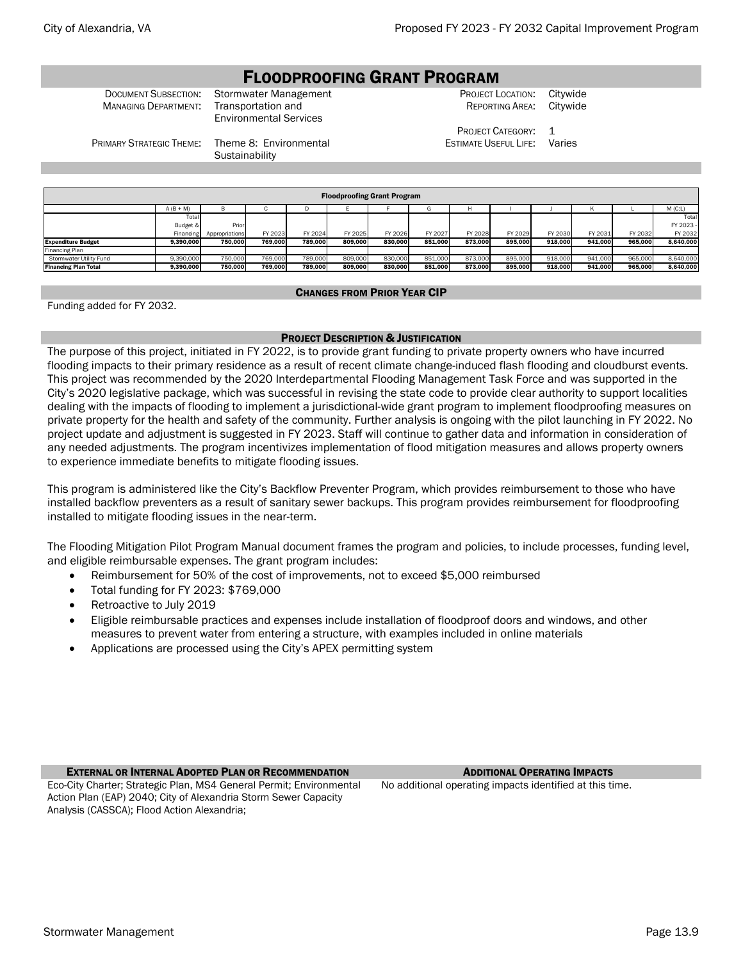# FLOODPROOFING GRANT PROGRAM

MANAGING DEPARTMENT: Transportation and

**DOCUMENT SUBSECTION:** Stormwater Management **CHANAGE CONSTRET CONSTRET LOCATION: Citywide** Computer Construction<br>Managing Department: Transportation and Environmental Services

REPORTING AREA:

PROJECT CATEGORY: 1 ESTIMATE USEFUL LIFE: Varies

PRIMARY STRATEGIC THEME: Theme 8: Environmental

**Sustainability** 

| <b>Floodproofing Grant Program</b> |                                                                                                                                                      |         |         |         |         |         |         |         |         |         |         |         |           |  |  |
|------------------------------------|------------------------------------------------------------------------------------------------------------------------------------------------------|---------|---------|---------|---------|---------|---------|---------|---------|---------|---------|---------|-----------|--|--|
| M(C:L)<br>$A (B + M)$<br>в<br>G    |                                                                                                                                                      |         |         |         |         |         |         |         |         |         |         |         |           |  |  |
| Total<br>Total                     |                                                                                                                                                      |         |         |         |         |         |         |         |         |         |         |         |           |  |  |
|                                    | Budget &                                                                                                                                             | Prior   |         |         |         |         |         |         |         |         |         |         | FY 2023 - |  |  |
|                                    | FY 2032<br>FY 2023<br>FY 2024<br>FY 2025<br>FY 2027<br>FY 2028<br>FY 2029<br>FY 2030<br>FY 2031<br>FY 2026<br>FY 2032<br>Financing<br>Appropriations |         |         |         |         |         |         |         |         |         |         |         |           |  |  |
| <b>Expenditure Budget</b>          | 9.390.000                                                                                                                                            | 750.000 | 769.000 | 789.000 | 809.000 | 830.000 | 851.000 | 873.000 | 895.000 | 918.000 | 941.000 | 965.000 | 8.640.000 |  |  |
| Financing Plan                     |                                                                                                                                                      |         |         |         |         |         |         |         |         |         |         |         |           |  |  |
| Stormwater Utility Fund            | 750,000<br>769,000<br>789,000<br>918,000<br>9.390.000<br>809,000<br>830,000<br>851.000<br>873,000<br>895,000<br>941.000<br>965,000<br>8,640,000      |         |         |         |         |         |         |         |         |         |         |         |           |  |  |
| <b>Financing Plan Total</b>        | 789.000<br>830,000<br>918.000<br>965,000<br>9,390,000<br>750,000<br>769.000<br>809,000<br>851,000<br>873.000<br>895,000<br>941,000<br>8,640,000      |         |         |         |         |         |         |         |         |         |         |         |           |  |  |

# CHANGES FROM PRIOR YEAR CIP

Funding added for FY 2032.

# PROJECT DESCRIPTION & JUSTIFICATION

The purpose of this project, initiated in FY 2022, is to provide grant funding to private property owners who have incurred flooding impacts to their primary residence as a result of recent climate change-induced flash flooding and cloudburst events. This project was recommended by the 2020 Interdepartmental Flooding Management Task Force and was supported in the City's 2020 legislative package, which was successful in revising the state code to provide clear authority to support localities dealing with the impacts of flooding to implement a jurisdictional-wide grant program to implement floodproofing measures on private property for the health and safety of the community. Further analysis is ongoing with the pilot launching in FY 2022. No project update and adjustment is suggested in FY 2023. Staff will continue to gather data and information in consideration of any needed adjustments. The program incentivizes implementation of flood mitigation measures and allows property owners to experience immediate benefits to mitigate flooding issues.

This program is administered like the City's Backflow Preventer Program, which provides reimbursement to those who have installed backflow preventers as a result of sanitary sewer backups. This program provides reimbursement for floodproofing installed to mitigate flooding issues in the near-term.

The Flooding Mitigation Pilot Program Manual document frames the program and policies, to include processes, funding level, and eligible reimbursable expenses. The grant program includes:

- Reimbursement for 50% of the cost of improvements, not to exceed \$5,000 reimbursed
- Total funding for FY 2023: \$769,000
- Retroactive to July 2019
- Eligible reimbursable practices and expenses include installation of floodproof doors and windows, and other measures to prevent water from entering a structure, with examples included in online materials
- Applications are processed using the City's APEX permitting system

**EXTERNAL OR INTERNAL ADOPTED PLAN OR RECOMMENDATION** ADDITIONAL **OPERATING IMPACTS** 

Eco-City Charter; Strategic Plan, MS4 General Permit; Environmental Action Plan (EAP) 2040; City of Alexandria Storm Sewer Capacity Analysis (CASSCA); Flood Action Alexandria;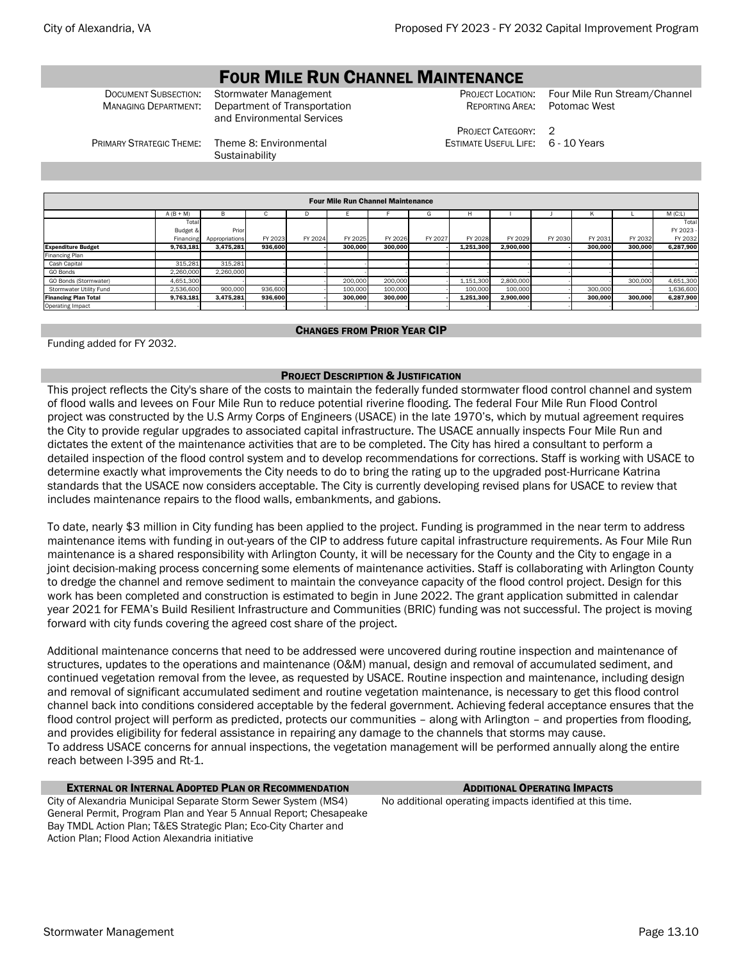# **FOUR MILE RUN CHANNEL MAINTENANCE**<br>Stormwater Management

MANAGING DEPARTMENT: Department of Transportation and Environmental Services

PROJECT CATEGORY: 2 ESTIMATE USEFUL LIFE: 6 - 10 Years

Document Subsection: Stormwater Management Processive Provect Location: Four Mile Run Stream/Channel<br>MANAGING DEPARTMENT: Department of Transportation Processive Reporting Area: Potomac West Potomac West

PRIMARY STRATEGIC THEME: Theme 8: Environmental

**Sustainability** 

|                                         | <b>Four Mile Run Channel Maintenance</b> |                |         |         |         |         |         |           |           |         |         |         |           |  |
|-----------------------------------------|------------------------------------------|----------------|---------|---------|---------|---------|---------|-----------|-----------|---------|---------|---------|-----------|--|
| $A (B + M)$<br>$M$ (C:L)<br>в<br>н<br>G |                                          |                |         |         |         |         |         |           |           |         |         |         |           |  |
|                                         | Total                                    |                |         |         |         |         |         |           |           |         |         |         | Total     |  |
|                                         | Budget &                                 | Prior          |         |         |         |         |         |           |           |         |         |         | FY 2023 - |  |
|                                         | Financing                                | Appropriations | FY 2023 | FY 2024 | FY 2025 | FY 2026 | FY 2027 | FY 2028   | FY 2029   | FY 2030 | FY 2031 | FY 2032 | FY 2032   |  |
| <b>Expenditure Budget</b>               | 9.763.181                                | 3.475.281      | 936.600 |         | 300.000 | 300.000 |         | 1.251.300 | 2.900.000 |         | 300.000 | 300.000 | 6,287,900 |  |
| Financing Plan                          |                                          |                |         |         |         |         |         |           |           |         |         |         |           |  |
| Cash Capital                            | 315,281                                  | 315,281        |         |         |         |         |         |           |           |         |         |         |           |  |
| GO Bonds                                | 2,260,000                                | 2,260,000      |         |         |         |         |         |           |           |         |         |         |           |  |
| GO Bonds (Stormwater)                   | 4,651,300                                |                |         |         | 200,000 | 200,000 |         | 1,151,300 | 2,800,000 |         |         | 300,000 | 4,651,300 |  |
| Stormwater Utility Fund                 | 2.536.600                                | 900,000        | 936,600 |         | 100,000 | 100,000 |         | 100,000   | 100,000   |         | 300,000 |         | 1,636,600 |  |
| <b>Financing Plan Total</b>             | 9.763.181                                | 3.475.281      | 936.600 |         | 300.000 | 300.000 |         | 1,251,300 | 2.900.000 |         | 300.000 | 300.000 | 6,287,900 |  |
| Operating Impact                        |                                          |                |         |         |         |         |         |           |           |         |         |         |           |  |
|                                         |                                          |                |         |         |         |         |         |           |           |         |         |         |           |  |

# CHANGES FROM PRIOR YEAR CIP

Funding added for FY 2032.

# PROJECT DESCRIPTION & JUSTIFICATION

This project reflects the City's share of the costs to maintain the federally funded stormwater flood control channel and system of flood walls and levees on Four Mile Run to reduce potential riverine flooding. The federal Four Mile Run Flood Control project was constructed by the U.S Army Corps of Engineers (USACE) in the late 1970's, which by mutual agreement requires the City to provide regular upgrades to associated capital infrastructure. The USACE annually inspects Four Mile Run and dictates the extent of the maintenance activities that are to be completed. The City has hired a consultant to perform a detailed inspection of the flood control system and to develop recommendations for corrections. Staff is working with USACE to determine exactly what improvements the City needs to do to bring the rating up to the upgraded post-Hurricane Katrina standards that the USACE now considers acceptable. The City is currently developing revised plans for USACE to review that includes maintenance repairs to the flood walls, embankments, and gabions.

To date, nearly \$3 million in City funding has been applied to the project. Funding is programmed in the near term to address maintenance items with funding in out-years of the CIP to address future capital infrastructure requirements. As Four Mile Run maintenance is a shared responsibility with Arlington County, it will be necessary for the County and the City to engage in a joint decision-making process concerning some elements of maintenance activities. Staff is collaborating with Arlington County to dredge the channel and remove sediment to maintain the conveyance capacity of the flood control project. Design for this work has been completed and construction is estimated to begin in June 2022. The grant application submitted in calendar year 2021 for FEMA's Build Resilient Infrastructure and Communities (BRIC) funding was not successful. The project is moving forward with city funds covering the agreed cost share of the project.

Additional maintenance concerns that need to be addressed were uncovered during routine inspection and maintenance of structures, updates to the operations and maintenance (O&M) manual, design and removal of accumulated sediment, and continued vegetation removal from the levee, as requested by USACE. Routine inspection and maintenance, including design and removal of significant accumulated sediment and routine vegetation maintenance, is necessary to get this flood control channel back into conditions considered acceptable by the federal government. Achieving federal acceptance ensures that the flood control project will perform as predicted, protects our communities – along with Arlington – and properties from flooding, and provides eligibility for federal assistance in repairing any damage to the channels that storms may cause. To address USACE concerns for annual inspections, the vegetation management will be performed annually along the entire reach between I-395 and Rt-1.

# EXTERNAL OR INTERNAL ADOPTED PLAN OR RECOMMENDATION ADDITIONAL OPERATING IMPACTS

City of Alexandria Municipal Separate Storm Sewer System (MS4) General Permit, Program Plan and Year 5 Annual Report; Chesapeake Bay TMDL Action Plan; T&ES Strategic Plan; Eco-City Charter and Action Plan; Flood Action Alexandria initiative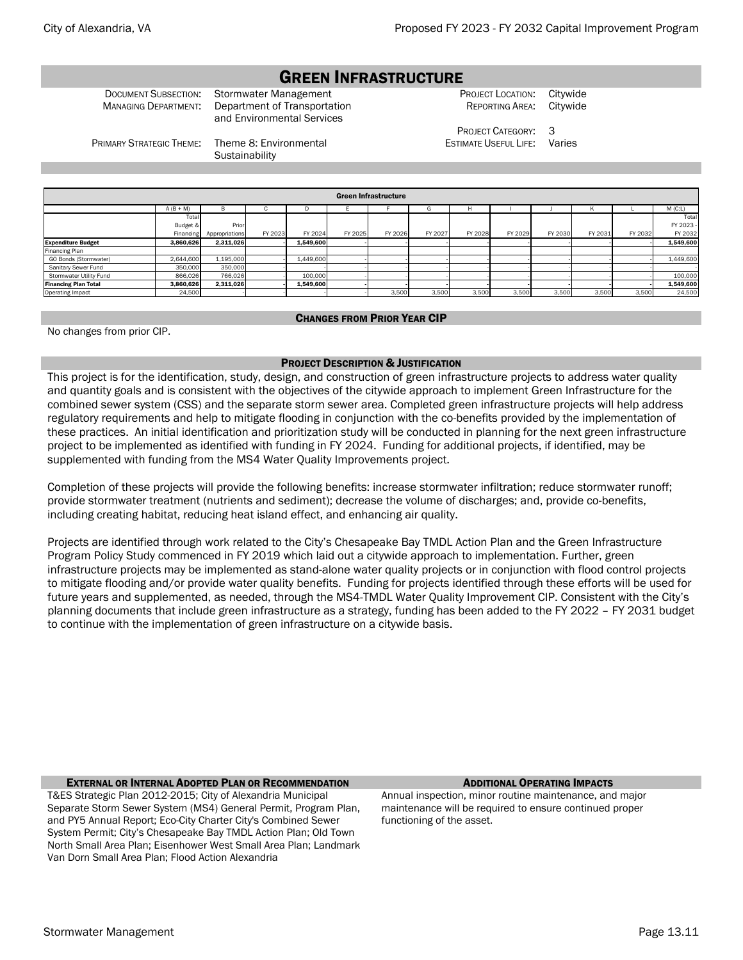# GREEN INFRASTRUCTURE

DOCUMENT SUBSECTION: Stormwater Management PROJECT LOCATION: Citywide

MANAGING DEPARTMENT: Department of Transportation and Environmental Services

REPORTING AREA: Citywide

PROJECT CATEGORY: 3 ESTIMATE USEFUL LIFE: Varies

PRIMARY STRATEGIC THEME: Theme 8: Environmental

**Sustainability** 

|                             | <b>Green Infrastructure</b> |                |         |           |         |         |         |         |         |         |         |         |           |  |  |
|-----------------------------|-----------------------------|----------------|---------|-----------|---------|---------|---------|---------|---------|---------|---------|---------|-----------|--|--|
|                             | $A (B + M)$                 | в              | с       | D         |         |         | G       | H       |         |         |         |         | M(C:L)    |  |  |
|                             | Total                       |                |         |           |         |         |         |         |         |         |         |         | Total     |  |  |
|                             | Budget &                    | Prior          |         |           |         |         |         |         |         |         |         |         | FY 2023 - |  |  |
|                             | Financing                   | Appropriations | FY 2023 | FY 2024   | FY 2025 | FY 2026 | FY 2027 | FY 2028 | FY 2029 | FY 2030 | FY 2031 | FY 2032 | FY 2032   |  |  |
| <b>Expenditure Budget</b>   | 3.860.626                   | 2,311,026      |         | 1.549.600 |         |         |         |         |         |         |         |         | 1,549,600 |  |  |
| Financing Plan              |                             |                |         |           |         |         |         |         |         |         |         |         |           |  |  |
| GO Bonds (Stormwater)       | 2,644,600                   | 1,195,000      |         | 1,449,600 |         |         |         |         |         |         |         |         | 1,449,600 |  |  |
| Sanitary Sewer Fund         | 350,000                     | 350,000        |         |           |         |         |         |         |         |         |         |         |           |  |  |
| Stormwater Utility Fund     | 866.026                     | 766,026        |         | 100,000   |         |         |         |         |         |         |         |         | 100,000   |  |  |
| <b>Financing Plan Total</b> | 3,860,626                   | 2,311,026      |         | 1.549.600 |         |         |         |         |         |         |         |         | 1,549,600 |  |  |
| Operating Impact            | 24,500                      |                |         |           |         | 3,500   | 3,500   | 3,500   | 3,500   | 3,500   | 3,500   | 3,500   | 24,500    |  |  |
|                             |                             |                |         |           |         |         |         |         |         |         |         |         |           |  |  |

# CHANGES FROM PRIOR YEAR CIP

No changes from prior CIP.

# PROJECT DESCRIPTION & JUSTIFICATION

This project is for the identification, study, design, and construction of green infrastructure projects to address water quality and quantity goals and is consistent with the objectives of the citywide approach to implement Green Infrastructure for the combined sewer system (CSS) and the separate storm sewer area. Completed green infrastructure projects will help address regulatory requirements and help to mitigate flooding in conjunction with the co-benefits provided by the implementation of these practices. An initial identification and prioritization study will be conducted in planning for the next green infrastructure project to be implemented as identified with funding in FY 2024. Funding for additional projects, if identified, may be supplemented with funding from the MS4 Water Quality Improvements project.

Completion of these projects will provide the following benefits: increase stormwater infiltration; reduce stormwater runoff; provide stormwater treatment (nutrients and sediment); decrease the volume of discharges; and, provide co-benefits, including creating habitat, reducing heat island effect, and enhancing air quality.

Projects are identified through work related to the City's Chesapeake Bay TMDL Action Plan and the Green Infrastructure Program Policy Study commenced in FY 2019 which laid out a citywide approach to implementation. Further, green infrastructure projects may be implemented as stand-alone water quality projects or in conjunction with flood control projects to mitigate flooding and/or provide water quality benefits. Funding for projects identified through these efforts will be used for future years and supplemented, as needed, through the MS4-TMDL Water Quality Improvement CIP. Consistent with the City's planning documents that include green infrastructure as a strategy, funding has been added to the FY 2022 – FY 2031 budget to continue with the implementation of green infrastructure on a citywide basis.

#### **EXTERNAL OR INTERNAL ADOPTED PLAN OR RECOMMENDATION** ADDITIONAL **OPERATING IMPACTS**

T&ES Strategic Plan 2012-2015; City of Alexandria Municipal Separate Storm Sewer System (MS4) General Permit, Program Plan, and PY5 Annual Report; Eco-City Charter City's Combined Sewer System Permit; City's Chesapeake Bay TMDL Action Plan; Old Town North Small Area Plan; Eisenhower West Small Area Plan; Landmark Van Dorn Small Area Plan; Flood Action Alexandria

Annual inspection, minor routine maintenance, and major maintenance will be required to ensure continued proper functioning of the asset.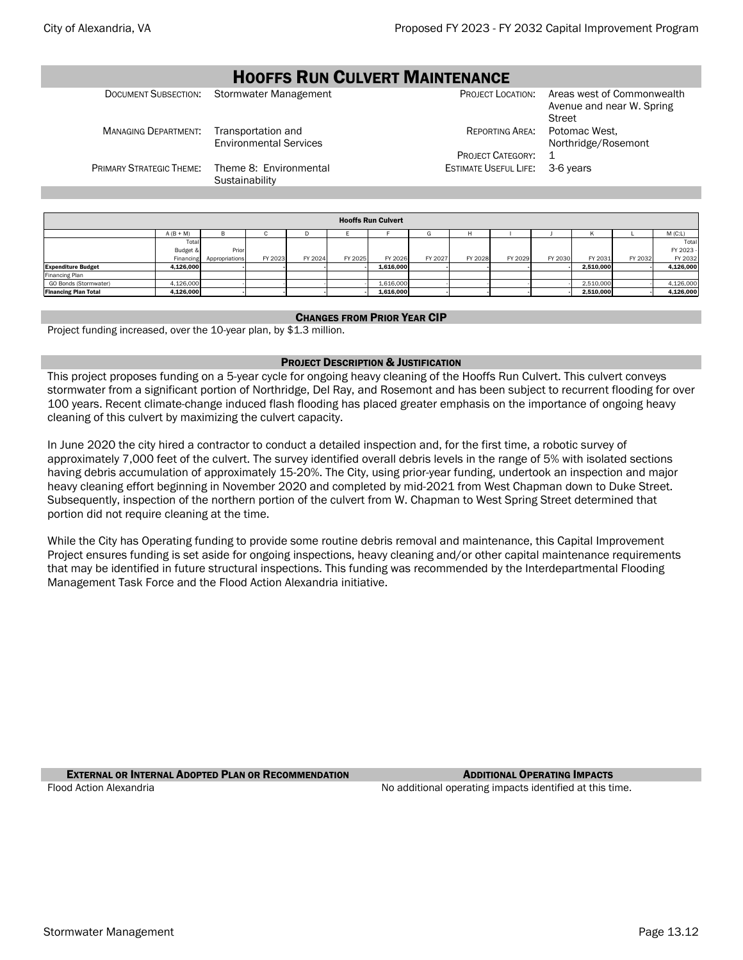#### **HOOFFS RUN CULVERT MAINTENANCE**<br>mwater Management **Project Location:** DOCUMENT SUBSECTION: Stormwater Management PROJECT LOCATION: Areas west of Commonwealth Avenue and near W. Spring **Street** MANAGING DEPARTMENT: Transportation and Environmental Services REPORTING AREA: Potomac West, Northridge/Rosemont PROJECT CATEGORY: 1 PRIMARY STRATEGIC THEME: Theme 8: Environmental **Sustainability** ESTIMATE USEFUL LIFE: 3-6 years Hooffs Run Culvert

|                             | <b>Hooffs Run Culvert</b> |                |         |         |         |           |         |         |         |         |           |         |           |  |  |
|-----------------------------|---------------------------|----------------|---------|---------|---------|-----------|---------|---------|---------|---------|-----------|---------|-----------|--|--|
|                             | $A (B + M)$               | в              |         |         |         |           |         |         |         |         |           |         | M(C:L)    |  |  |
|                             | Total                     |                |         |         |         |           |         |         |         |         |           |         | Total     |  |  |
|                             | Budget &                  | Prior          |         |         |         |           |         |         |         |         |           |         | FY 2023 - |  |  |
|                             | Financing                 | Appropriations | FY 2023 | FY 2024 | FY 2025 | FY 2026   | FY 2027 | FY 2028 | FY 2029 | FY 2030 | FY 2031   | FY 2032 | FY 2032   |  |  |
| <b>Expenditure Budget</b>   | 4,126,000                 |                |         |         |         | 1,616,000 |         |         |         |         | 2,510,000 |         | 4,126,000 |  |  |
| Financing Plan              |                           |                |         |         |         |           |         |         |         |         |           |         |           |  |  |
| GO Bonds (Stormwater)       | 4,126,000                 |                |         |         |         | 1,616,000 |         |         |         |         | 2,510,000 |         | 4,126,000 |  |  |
| <b>Financing Plan Total</b> | 4,126,000                 |                |         |         |         | 1,616,000 |         |         |         |         | 2,510,000 |         | 4,126,000 |  |  |

### CHANGES FROM PRIOR YEAR CIP

Project funding increased, over the 10-year plan, by \$1.3 million.

# PROJECT DESCRIPTION & JUSTIFICATION

This project proposes funding on a 5-year cycle for ongoing heavy cleaning of the Hooffs Run Culvert. This culvert conveys stormwater from a significant portion of Northridge, Del Ray, and Rosemont and has been subject to recurrent flooding for over 100 years. Recent climate-change induced flash flooding has placed greater emphasis on the importance of ongoing heavy cleaning of this culvert by maximizing the culvert capacity.

In June 2020 the city hired a contractor to conduct a detailed inspection and, for the first time, a robotic survey of approximately 7,000 feet of the culvert. The survey identified overall debris levels in the range of 5% with isolated sections having debris accumulation of approximately 15-20%. The City, using prior-year funding, undertook an inspection and major heavy cleaning effort beginning in November 2020 and completed by mid-2021 from West Chapman down to Duke Street. Subsequently, inspection of the northern portion of the culvert from W. Chapman to West Spring Street determined that portion did not require cleaning at the time.

While the City has Operating funding to provide some routine debris removal and maintenance, this Capital Improvement Project ensures funding is set aside for ongoing inspections, heavy cleaning and/or other capital maintenance requirements that may be identified in future structural inspections. This funding was recommended by the Interdepartmental Flooding Management Task Force and the Flood Action Alexandria initiative.

**EXTERNAL OR INTERNAL ADOPTED PLAN OR RECOMMENDATION** ADDITIONAL **OPERATING IMPACTS** Flood Action Alexandria Notation and Theorem 2012 No additional operating impacts identified at this time.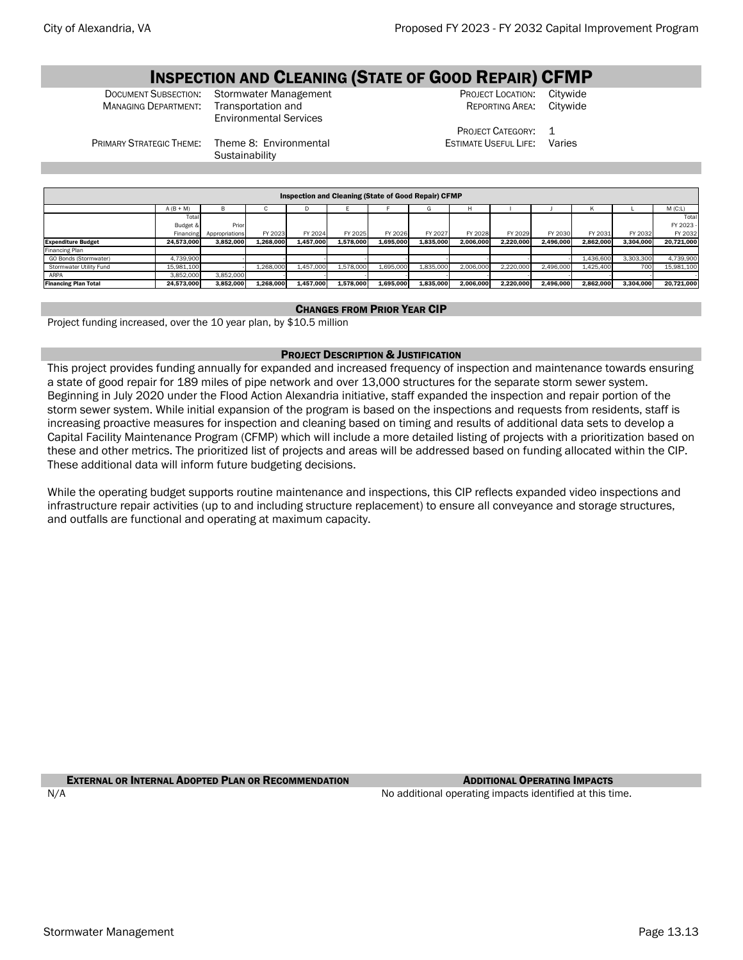# **INSPECTION AND CLEANING (STATE OF GOOD REPAIR) CFMP**<br>SUBSECTION: Stormwater Management **CRATE OF ARAGET LOCATION:** Citywide

**MANAGING DEPARTMENT:** 

**DOCUMENT SUBSECTION:** Stormwater Management **COCUMENT PROJECT LOCATION: Citywide** PROJECT LOCATION: Citywide COLORATION: Citywide Environmental Services

**Sustainability** 

REPORTING AREA:

PROJECT CATEGORY: 1 ESTIMATE USEFUL LIFE: Varies

A (B + M) B C D E F G H I J K L M (C:L) To Budget & Financing<br>24.573.00 p<sub>ri</sub> Appropriations FY 2023 FY 2024 FY 2025 FY 2026 FY 2027 FY 2028 FY 2029 FY 2030 FY 2031 FY 2032 Total FY 2023 FY 203 Expenditure Budget 24,573,000 3,852,000 1,268,000 1,457,000 1,578,000 1,695,000 1,835,000 2,006,000 2,220,000 2,496,000 2,862,000 3,304,000 20,721,000 ng Plan GO Bonds (Stormwater) | 4,739,900 | -| --| --| -- -- -- -- -1,436,600 | 3,303,300 | 4,739,900 Stormwater Utility Fund | 15,981,100 - | 1,268,000 | 1,457,000 | 1,578,000 | 1,695,000 | 1,835,000 | 2,006,000 | 2,220,000 | 2,496,000 | 1,425,400 | 700 | 15,981,100 ARPA 3,852,000 3,852,000 - - - - - - - - - - - Financing Plan Total 24,573,000 3,852,000 1,268,000 1,457,000 1,578,000 1,695,000 1,835,000 2,006,000 2,220,000 2,496,000 2,862,000 3,304,000 20,721,000 Inspection and Cleaning (State of Good Repair) CFMP

# CHANGES FROM PRIOR YEAR CIP

Project funding increased, over the 10 year plan, by \$10.5 million

PRIMARY STRATEGIC THEME: Theme 8: Environmental

### PROJECT DESCRIPTION & JUSTIFICATION

This project provides funding annually for expanded and increased frequency of inspection and maintenance towards ensuring a state of good repair for 189 miles of pipe network and over 13,000 structures for the separate storm sewer system. Beginning in July 2020 under the Flood Action Alexandria initiative, staff expanded the inspection and repair portion of the storm sewer system. While initial expansion of the program is based on the inspections and requests from residents, staff is increasing proactive measures for inspection and cleaning based on timing and results of additional data sets to develop a Capital Facility Maintenance Program (CFMP) which will include a more detailed listing of projects with a prioritization based on these and other metrics. The prioritized list of projects and areas will be addressed based on funding allocated within the CIP. These additional data will inform future budgeting decisions.

While the operating budget supports routine maintenance and inspections, this CIP reflects expanded video inspections and infrastructure repair activities (up to and including structure replacement) to ensure all conveyance and storage structures, and outfalls are functional and operating at maximum capacity.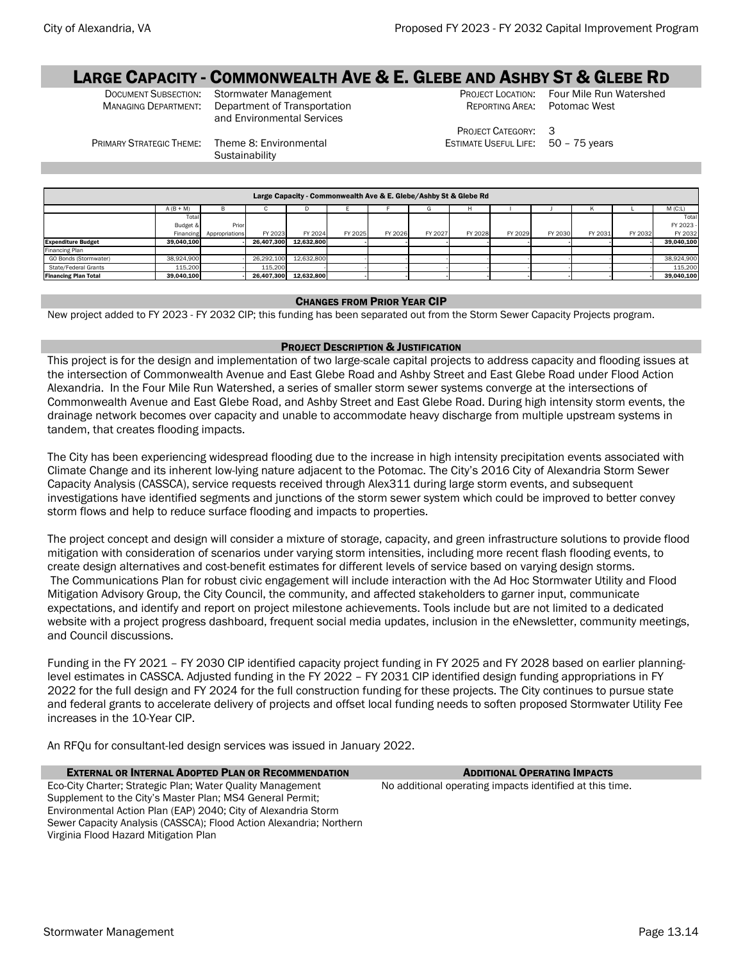# LARGE CAPACITY - COMMONWEALTH AVE & E. GLEBE AND ASHBY ST & GLEBE RD<br>Document Subsection: Stormwater Management PROJECT LOCATION: Four Mile Run Watershed

DOCUMENT SUBSECTION: Stormwater Management PROJECT LOCATION: Four Mile Run Managing Department of Transportation REPORTING AREA: Potomac West Department of Transportation and Environmental Services

REPORTING AREA:

PROJECT CATEGORY: 3 ESTIMATE USEFUL LIFE: 50 – 75 years

PRIMARY STRATEGIC THEME: Theme 8: Environmental

**Sustainability** 

|                             | Large Capacity - Commonwealth Ave & E. Glebe/Ashby St & Glebe Rd |                |            |            |         |         |         |         |         |         |         |         |            |  |  |
|-----------------------------|------------------------------------------------------------------|----------------|------------|------------|---------|---------|---------|---------|---------|---------|---------|---------|------------|--|--|
|                             | $A (B + M)$                                                      |                |            |            |         |         | G       | н       |         |         |         |         | M(C:L)     |  |  |
|                             | Total                                                            |                |            |            |         |         |         |         |         |         |         |         | Total      |  |  |
|                             | Budget &                                                         | Prior          |            |            |         |         |         |         |         |         |         |         | FY 2023 -  |  |  |
|                             | Financing                                                        | Appropriations | FY 2023    | FY 2024    | FY 2025 | FY 2026 | FY 2027 | FY 2028 | FY 2029 | FY 2030 | FY 2031 | FY 2032 | FY 2032    |  |  |
| <b>Expenditure Budget</b>   | 39.040.100                                                       |                | 26.407.300 | 12.632.800 |         |         |         |         |         |         |         |         | 39.040.100 |  |  |
| Financing Plan              |                                                                  |                |            |            |         |         |         |         |         |         |         |         |            |  |  |
| GO Bonds (Stormwater)       | 38,924,900                                                       |                | 26.292.100 | 12,632,800 |         |         |         |         |         |         |         |         | 38,924,900 |  |  |
| State/Federal Grants        | 115,200                                                          |                | 115,200    |            |         |         |         |         |         |         |         |         | 115,200    |  |  |
| <b>Financing Plan Total</b> | 39,040,100                                                       |                | 26.407.300 | 12,632,800 |         |         |         |         |         |         |         |         | 39.040.100 |  |  |

# CHANGES FROM PRIOR YEAR CIP

New project added to FY 2023 - FY 2032 CIP; this funding has been separated out from the Storm Sewer Capacity Projects program.

# PROJECT DESCRIPTION & JUSTIFICATION

This project is for the design and implementation of two large-scale capital projects to address capacity and flooding issues at the intersection of Commonwealth Avenue and East Glebe Road and Ashby Street and East Glebe Road under Flood Action Alexandria. In the Four Mile Run Watershed, a series of smaller storm sewer systems converge at the intersections of Commonwealth Avenue and East Glebe Road, and Ashby Street and East Glebe Road. During high intensity storm events, the drainage network becomes over capacity and unable to accommodate heavy discharge from multiple upstream systems in tandem, that creates flooding impacts.

The City has been experiencing widespread flooding due to the increase in high intensity precipitation events associated with Climate Change and its inherent low-lying nature adjacent to the Potomac. The City's 2016 City of Alexandria Storm Sewer Capacity Analysis (CASSCA), service requests received through Alex311 during large storm events, and subsequent investigations have identified segments and junctions of the storm sewer system which could be improved to better convey storm flows and help to reduce surface flooding and impacts to properties.

The project concept and design will consider a mixture of storage, capacity, and green infrastructure solutions to provide flood mitigation with consideration of scenarios under varying storm intensities, including more recent flash flooding events, to create design alternatives and cost-benefit estimates for different levels of service based on varying design storms. The Communications Plan for robust civic engagement will include interaction with the Ad Hoc Stormwater Utility and Flood Mitigation Advisory Group, the City Council, the community, and affected stakeholders to garner input, communicate expectations, and identify and report on project milestone achievements. Tools include but are not limited to a dedicated website with a project progress dashboard, frequent social media updates, inclusion in the eNewsletter, community meetings, and Council discussions.

Funding in the FY 2021 – FY 2030 CIP identified capacity project funding in FY 2025 and FY 2028 based on earlier planninglevel estimates in CASSCA. Adjusted funding in the FY 2022 – FY 2031 CIP identified design funding appropriations in FY 2022 for the full design and FY 2024 for the full construction funding for these projects. The City continues to pursue state and federal grants to accelerate delivery of projects and offset local funding needs to soften proposed Stormwater Utility Fee increases in the 10-Year CIP.

An RFQu for consultant-led design services was issued in January 2022.

#### **EXTERNAL OR INTERNAL ADOPTED PLAN OR RECOMMENDATION** ADDITIONAL **OPERATING IMPACTS**

Eco-City Charter; Strategic Plan; Water Quality Management Supplement to the City's Master Plan; MS4 General Permit; Environmental Action Plan (EAP) 2040; City of Alexandria Storm Sewer Capacity Analysis (CASSCA); Flood Action Alexandria; Northern Virginia Flood Hazard Mitigation Plan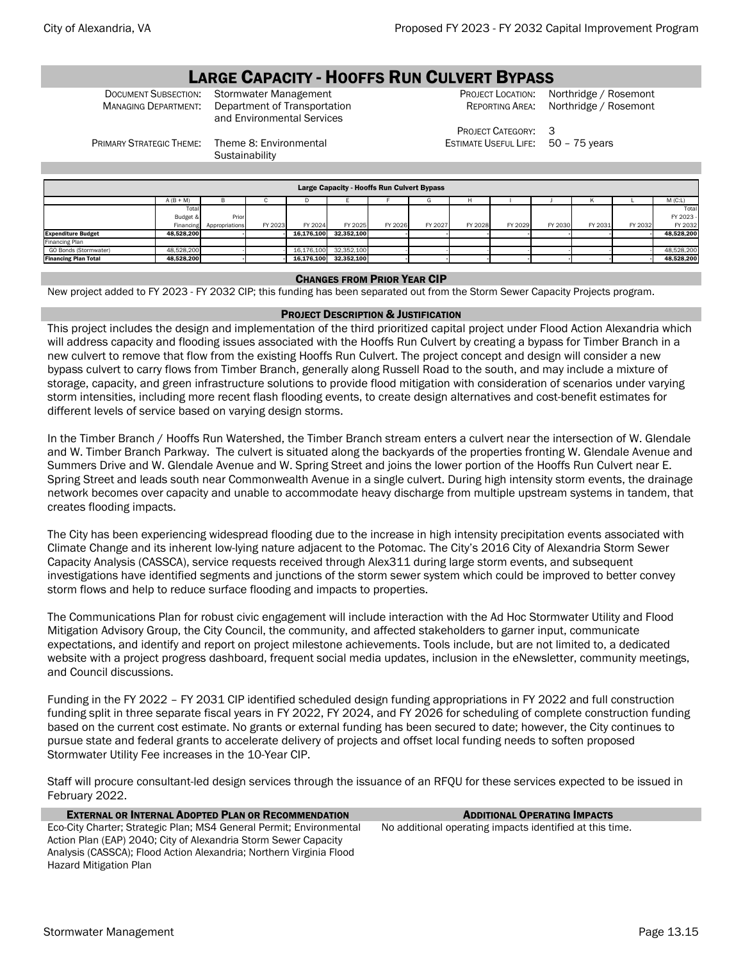# **LARGE CAPACITY - HOOFFS RUN CULVERT BYPASS**<br>Document Subsection: Stormwater Management **Anagement** PROJECT LOCATION: N

PRIMARY STRATEGIC THEME: Theme 8: Environmental

**Sustainability** 

DOCUMENT SUBSECTION: Stormwater Management PROJECT LOCATION: Northridge / Rosemont<br>
Managing Department: Department of Transportation Reporting Area: Northridge / Rosemont Department of Transportation and Environmental Services

PROJECT CATEGORY: 3

Northridge / Rosemont

ESTIMATE USEFUL LIFE: 50 – 75 years

Large Capacity - Hooffs Run Culvert Bypass

|                             | $A (B + M)$ |                |         |            |            |         |         |         |         |         | n       |         | $M$ (C:L)  |
|-----------------------------|-------------|----------------|---------|------------|------------|---------|---------|---------|---------|---------|---------|---------|------------|
|                             | Total       |                |         |            |            |         |         |         |         |         |         |         | Total      |
|                             | Budget &    | Prior          |         |            |            |         |         |         |         |         |         |         | FY 2023 -  |
|                             | Financing   | Appropriations | FY 2023 | FY 2024    | FY 2025    | FY 2026 | FY 2027 | FY 2028 | FY 2029 | FY 2030 | FY 2031 | FY 2032 | FY 2032    |
| <b>Expenditure Budget</b>   | 48.528.200  |                |         | 16.176.100 | 32.352.100 |         |         |         |         |         |         |         | 48,528,200 |
| Financing Plan              |             |                |         |            |            |         |         |         |         |         |         |         |            |
| GO Bonds (Stormwater)       | 48.528.200  |                |         | 16,176,100 | 32.352.100 |         |         |         |         |         |         |         | 48,528,200 |
| <b>Financing Plan Total</b> | 48,528,200  |                |         | 16.176.100 | 32.352.100 |         |         |         |         |         |         |         | 48,528,200 |

### CHANGES FROM PRIOR YEAR CIP

New project added to FY 2023 - FY 2032 CIP; this funding has been separated out from the Storm Sewer Capacity Projects program.

# PROJECT DESCRIPTION & JUSTIFICATION

This project includes the design and implementation of the third prioritized capital project under Flood Action Alexandria which will address capacity and flooding issues associated with the Hooffs Run Culvert by creating a bypass for Timber Branch in a new culvert to remove that flow from the existing Hooffs Run Culvert. The project concept and design will consider a new bypass culvert to carry flows from Timber Branch, generally along Russell Road to the south, and may include a mixture of storage, capacity, and green infrastructure solutions to provide flood mitigation with consideration of scenarios under varying storm intensities, including more recent flash flooding events, to create design alternatives and cost-benefit estimates for different levels of service based on varying design storms.

In the Timber Branch / Hooffs Run Watershed, the Timber Branch stream enters a culvert near the intersection of W. Glendale and W. Timber Branch Parkway. The culvert is situated along the backyards of the properties fronting W. Glendale Avenue and Summers Drive and W. Glendale Avenue and W. Spring Street and joins the lower portion of the Hooffs Run Culvert near E. Spring Street and leads south near Commonwealth Avenue in a single culvert. During high intensity storm events, the drainage network becomes over capacity and unable to accommodate heavy discharge from multiple upstream systems in tandem, that creates flooding impacts.

The City has been experiencing widespread flooding due to the increase in high intensity precipitation events associated with Climate Change and its inherent low-lying nature adjacent to the Potomac. The City's 2016 City of Alexandria Storm Sewer Capacity Analysis (CASSCA), service requests received through Alex311 during large storm events, and subsequent investigations have identified segments and junctions of the storm sewer system which could be improved to better convey storm flows and help to reduce surface flooding and impacts to properties.

The Communications Plan for robust civic engagement will include interaction with the Ad Hoc Stormwater Utility and Flood Mitigation Advisory Group, the City Council, the community, and affected stakeholders to garner input, communicate expectations, and identify and report on project milestone achievements. Tools include, but are not limited to, a dedicated website with a project progress dashboard, frequent social media updates, inclusion in the eNewsletter, community meetings, and Council discussions.

Funding in the FY 2022 – FY 2031 CIP identified scheduled design funding appropriations in FY 2022 and full construction funding split in three separate fiscal years in FY 2022, FY 2024, and FY 2026 for scheduling of complete construction funding based on the current cost estimate. No grants or external funding has been secured to date; however, the City continues to pursue state and federal grants to accelerate delivery of projects and offset local funding needs to soften proposed Stormwater Utility Fee increases in the 10-Year CIP.

Staff will procure consultant-led design services through the issuance of an RFQU for these services expected to be issued in February 2022.

**EXTERNAL OR INTERNAL ADOPTED PLAN OR RECOMMENDATION** ADDITIONAL **OPERATING IMPACTS** Eco-City Charter; Strategic Plan; MS4 General Permit; Environmental Action Plan (EAP) 2040; City of Alexandria Storm Sewer Capacity Analysis (CASSCA); Flood Action Alexandria; Northern Virginia Flood Hazard Mitigation Plan

No additional operating impacts identified at this time.

Stormwater Management **Page 13.15** Communication Communication Communication Communication Communication Communication Communication Communication Communication Communication Communication Communication Communication Commu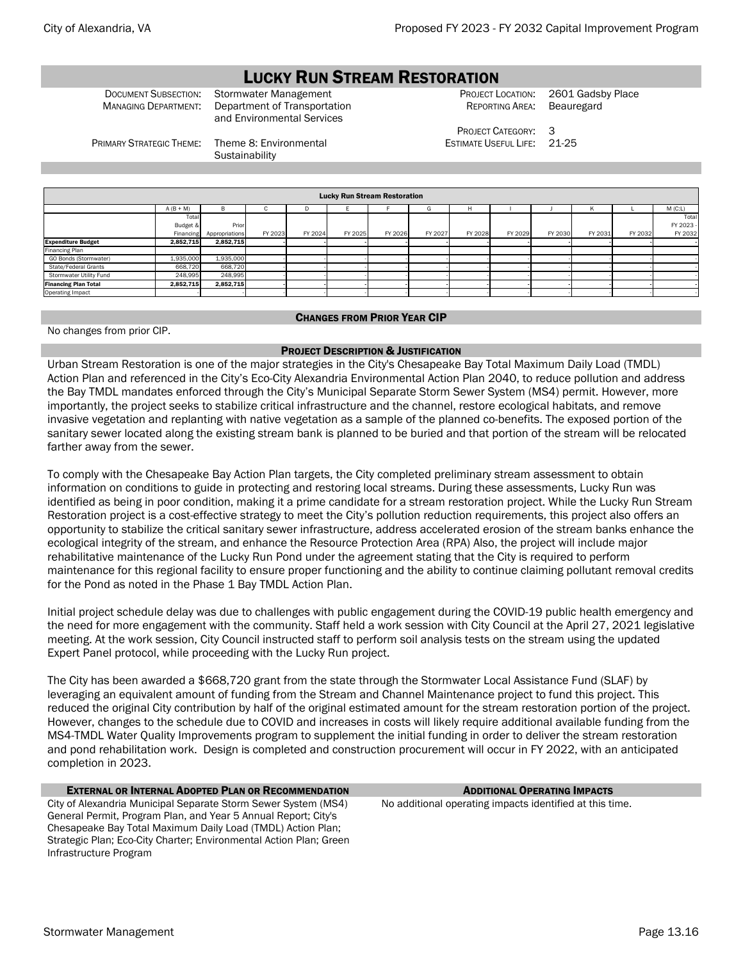# LUCKY RUN STREAM RESTORATION

DOCUMENT SUBSECTION: Stormwater Management PROJECT LOCATION: 2601 Gadsby Place MANAGING DEPARTMENT: Department of Transportation and Environmental Services

REPORTING AREA: Beauregard

PRIMARY STRATEGIC THEME: Theme 8: Environmental **Sustainability** 

PROJECT CATEGORY: 3 ESTIMATE USEFUL LIFE: 21-25

|                             | <b>Lucky Run Stream Restoration</b> |                |         |         |         |         |         |         |         |         |         |         |           |  |
|-----------------------------|-------------------------------------|----------------|---------|---------|---------|---------|---------|---------|---------|---------|---------|---------|-----------|--|
|                             | $A (B + M)$                         |                |         | D.      |         |         | G       |         |         |         |         |         | M(C:L)    |  |
|                             | Total                               |                |         |         |         |         |         |         |         |         |         |         | Total     |  |
|                             | Budget &                            | Prior          |         |         |         |         |         |         |         |         |         |         | FY 2023 - |  |
|                             | Financing                           | Appropriations | FY 2023 | FY 2024 | FY 2025 | FY 2026 | FY 2027 | FY 2028 | FY 2029 | FY 2030 | FY 2031 | FY 2032 | FY 2032   |  |
| <b>Expenditure Budget</b>   | 2,852,715                           | 2,852,715      |         |         |         |         |         |         |         |         |         |         |           |  |
| Financing Plan              |                                     |                |         |         |         |         |         |         |         |         |         |         |           |  |
| GO Bonds (Stormwater)       | 1,935,000                           | 1,935,000      |         |         |         |         |         |         |         |         |         |         |           |  |
| State/Federal Grants        | 668,720                             | 668,720        |         |         |         |         |         |         |         |         |         |         |           |  |
| Stormwater Utility Fund     | 248,995                             | 248,995        |         |         |         |         |         |         |         |         |         |         |           |  |
| <b>Financing Plan Total</b> | 2,852,715                           | 2,852,715      |         |         |         |         |         |         |         |         |         |         |           |  |
| Operating Impact            |                                     |                |         |         |         |         |         |         |         |         |         |         |           |  |
|                             |                                     |                |         |         |         |         |         |         |         |         |         |         |           |  |

### CHANGES FROM PRIOR YEAR CIP

No changes from prior CIP.

### PROJECT DESCRIPTION & JUSTIFICATION

Urban Stream Restoration is one of the major strategies in the City's Chesapeake Bay Total Maximum Daily Load (TMDL) Action Plan and referenced in the City's Eco-City Alexandria Environmental Action Plan 2040, to reduce pollution and address the Bay TMDL mandates enforced through the City's Municipal Separate Storm Sewer System (MS4) permit. However, more importantly, the project seeks to stabilize critical infrastructure and the channel, restore ecological habitats, and remove invasive vegetation and replanting with native vegetation as a sample of the planned co-benefits. The exposed portion of the sanitary sewer located along the existing stream bank is planned to be buried and that portion of the stream will be relocated farther away from the sewer.

To comply with the Chesapeake Bay Action Plan targets, the City completed preliminary stream assessment to obtain information on conditions to guide in protecting and restoring local streams. During these assessments, Lucky Run was identified as being in poor condition, making it a prime candidate for a stream restoration project. While the Lucky Run Stream Restoration project is a cost-effective strategy to meet the City's pollution reduction requirements, this project also offers an opportunity to stabilize the critical sanitary sewer infrastructure, address accelerated erosion of the stream banks enhance the ecological integrity of the stream, and enhance the Resource Protection Area (RPA) Also, the project will include major rehabilitative maintenance of the Lucky Run Pond under the agreement stating that the City is required to perform maintenance for this regional facility to ensure proper functioning and the ability to continue claiming pollutant removal credits for the Pond as noted in the Phase 1 Bay TMDL Action Plan.

Initial project schedule delay was due to challenges with public engagement during the COVID-19 public health emergency and the need for more engagement with the community. Staff held a work session with City Council at the April 27, 2021 legislative meeting. At the work session, City Council instructed staff to perform soil analysis tests on the stream using the updated Expert Panel protocol, while proceeding with the Lucky Run project.

The City has been awarded a \$668,720 grant from the state through the Stormwater Local Assistance Fund (SLAF) by leveraging an equivalent amount of funding from the Stream and Channel Maintenance project to fund this project. This reduced the original City contribution by half of the original estimated amount for the stream restoration portion of the project. However, changes to the schedule due to COVID and increases in costs will likely require additional available funding from the MS4-TMDL Water Quality Improvements program to supplement the initial funding in order to deliver the stream restoration and pond rehabilitation work. Design is completed and construction procurement will occur in FY 2022, with an anticipated completion in 2023.

# **EXTERNAL OR INTERNAL ADOPTED PLAN OR RECOMMENDATION** ADDITIONAL **OPERATING IMPACTS**

City of Alexandria Municipal Separate Storm Sewer System (MS4) General Permit, Program Plan, and Year 5 Annual Report; City's Chesapeake Bay Total Maximum Daily Load (TMDL) Action Plan; Strategic Plan; Eco-City Charter; Environmental Action Plan; Green Infrastructure Program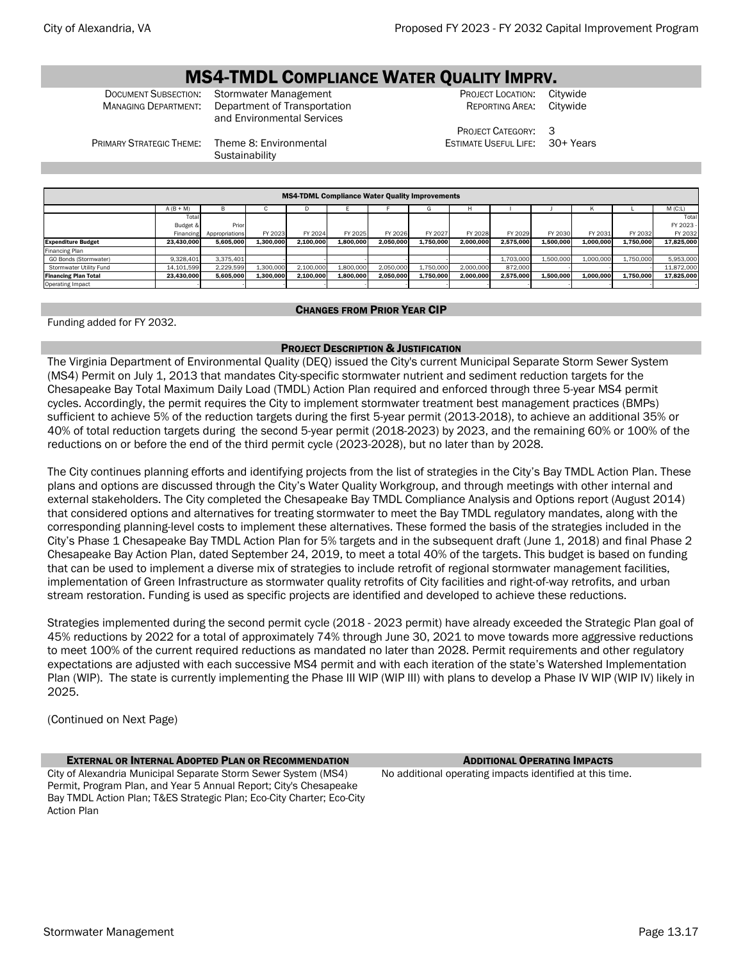# **MS4-TMDL COMPLIANCE WATER QUALITY IMPRV.**<br>Document Subsection: Stormwater Management PROJECT LOCATION: Ci

PRIMARY STRATEGIC THEME: Theme 8: Environmental

**Sustainability** 

Stormwater Management **Subsection:** PROJECT LOCATION: Citywide<br>
Department of Transportation **PRODECT LOCATION: PREPORTING AREA:** Citywide MANAGING DEPARTMENT: Department of Transportation and Environmental Services

REPORTING AREA:

PROJECT CATEGORY: 3 ESTIMATE USEFUL LIFE: 30+ Years

 $\overline{T}$ ot

A (B + M) B C D E F G H I J K L M (C:L)  $\overline{\mathsf{T}}$ o Budget Financing Pri Appropriations FY 2023 FY 2024 FY 2025 FY 2026 FY 2027 FY 2028 FY 2029 FY 2030 FY 2031 FY 2032 FY 2023 FY 2032 Expenditure Budget 23,430,000 5,605,000 1,300,000 2,100,000 1,800,000 2,050,000 1,750,000 2,000,000 2,575,000 1,500,000 1,000,000 1,750,000 17,825,000 inancing Plan<br>GO Bonds (St GO Bonds (Stormwater) 9,328,401 3,375,401 - - - - - - 1,703,000 1,500,000 1,000,000 1,750,000 5,953,000 Stormwater Utility Fund | 14,101,599| 2,229,599| 1,300,000| 2,100,000| 1,800,000| 1,750,000| 2,000,000| 872,000| | -| -| 11,872,000 Financing Plan Total | 23,430,000| 5,605,000| 1,300,000| 2,100,000| 2,050,000| 2,000,000| 2,570,000| 1,500,000| 1,000,000| 1,000,000| 1,750,000| 17,825,000 Operating Impact - - - - - - - - - - - - - MS4-TDML Compliance Water Quality Improvements

# CHANGES FROM PRIOR YEAR CIP

Funding added for FY 2032.

# PROJECT DESCRIPTION & JUSTIFICATION

The Virginia Department of Environmental Quality (DEQ) issued the City's current Municipal Separate Storm Sewer System (MS4) Permit on July 1, 2013 that mandates City-specific stormwater nutrient and sediment reduction targets for the Chesapeake Bay Total Maximum Daily Load (TMDL) Action Plan required and enforced through three 5-year MS4 permit cycles. Accordingly, the permit requires the City to implement stormwater treatment best management practices (BMPs) sufficient to achieve 5% of the reduction targets during the first 5-year permit (2013-2018), to achieve an additional 35% or 40% of total reduction targets during the second 5-year permit (2018-2023) by 2023, and the remaining 60% or 100% of the reductions on or before the end of the third permit cycle (2023-2028), but no later than by 2028.

The City continues planning efforts and identifying projects from the list of strategies in the City's Bay TMDL Action Plan. These plans and options are discussed through the City's Water Quality Workgroup, and through meetings with other internal and external stakeholders. The City completed the Chesapeake Bay TMDL Compliance Analysis and Options report (August 2014) that considered options and alternatives for treating stormwater to meet the Bay TMDL regulatory mandates, along with the corresponding planning-level costs to implement these alternatives. These formed the basis of the strategies included in the City's Phase 1 Chesapeake Bay TMDL Action Plan for 5% targets and in the subsequent draft (June 1, 2018) and final Phase 2 Chesapeake Bay Action Plan, dated September 24, 2019, to meet a total 40% of the targets. This budget is based on funding that can be used to implement a diverse mix of strategies to include retrofit of regional stormwater management facilities, implementation of Green Infrastructure as stormwater quality retrofits of City facilities and right-of-way retrofits, and urban stream restoration. Funding is used as specific projects are identified and developed to achieve these reductions.

Strategies implemented during the second permit cycle (2018 - 2023 permit) have already exceeded the Strategic Plan goal of 45% reductions by 2022 for a total of approximately 74% through June 30, 2021 to move towards more aggressive reductions to meet 100% of the current required reductions as mandated no later than 2028. Permit requirements and other regulatory expectations are adjusted with each successive MS4 permit and with each iteration of the state's Watershed Implementation Plan (WIP). The state is currently implementing the Phase III WIP (WIP III) with plans to develop a Phase IV WIP (WIP IV) likely in 2025.

(Continued on Next Page)

**EXTERNAL OR INTERNAL ADOPTED PLAN OR RECOMMENDATION** ADDITIONAL **OPERATING IMPACTS** City of Alexandria Municipal Separate Storm Sewer System (MS4) Permit, Program Plan, and Year 5 Annual Report; City's Chesapeake Bay TMDL Action Plan; T&ES Strategic Plan; Eco-City Charter; Eco-City Action Plan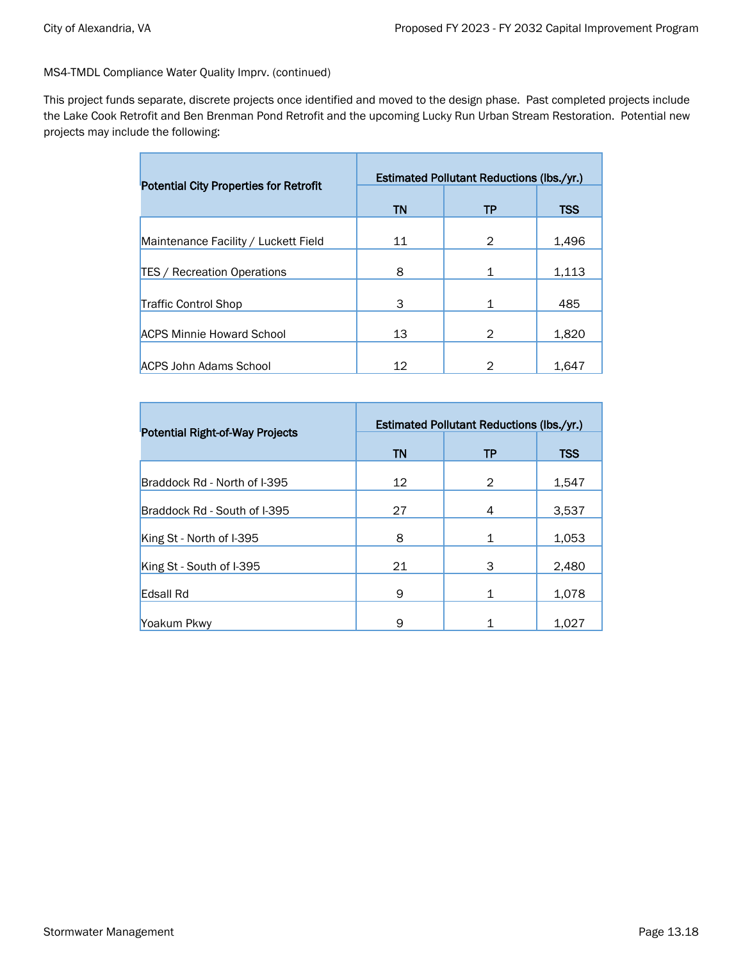MS4-TMDL Compliance Water Quality Imprv. (continued)

г

This project funds separate, discrete projects once identified and moved to the design phase. Past completed projects include the Lake Cook Retrofit and Ben Brenman Pond Retrofit and the upcoming Lucky Run Urban Stream Restoration. Potential new projects may include the following:

| <b>Potential City Properties for Retrofit</b> |    | <b>Estimated Pollutant Reductions (lbs./yr.)</b> |            |
|-----------------------------------------------|----|--------------------------------------------------|------------|
|                                               | TN | ТP                                               | <b>TSS</b> |
| Maintenance Facility / Luckett Field          | 11 | 2                                                | 1,496      |
| <b>TES / Recreation Operations</b>            | 8  |                                                  | 1,113      |
| Traffic Control Shop                          | 3  | 1                                                | 485        |
| <b>ACPS Minnie Howard School</b>              | 13 | 2                                                | 1,820      |
| <b>ACPS John Adams School</b>                 | 12 |                                                  | 1,647      |

|                                        |           | <b>Estimated Pollutant Reductions (lbs./yr.)</b> |       |
|----------------------------------------|-----------|--------------------------------------------------|-------|
| <b>Potential Right-of-Way Projects</b> | <b>TN</b> | TP                                               | TSS   |
| Braddock Rd - North of I-395           | 12        | 2                                                | 1,547 |
| Braddock Rd - South of I-395           | 27        | 4                                                | 3,537 |
| King St - North of I-395               | 8         | $\mathbf{1}$                                     | 1,053 |
| King St - South of I-395               | 21        | 3                                                | 2,480 |
| Edsall Rd                              | 9         | $\mathbf{1}$                                     | 1,078 |
| Yoakum Pkwy                            | 9         |                                                  | 1,027 |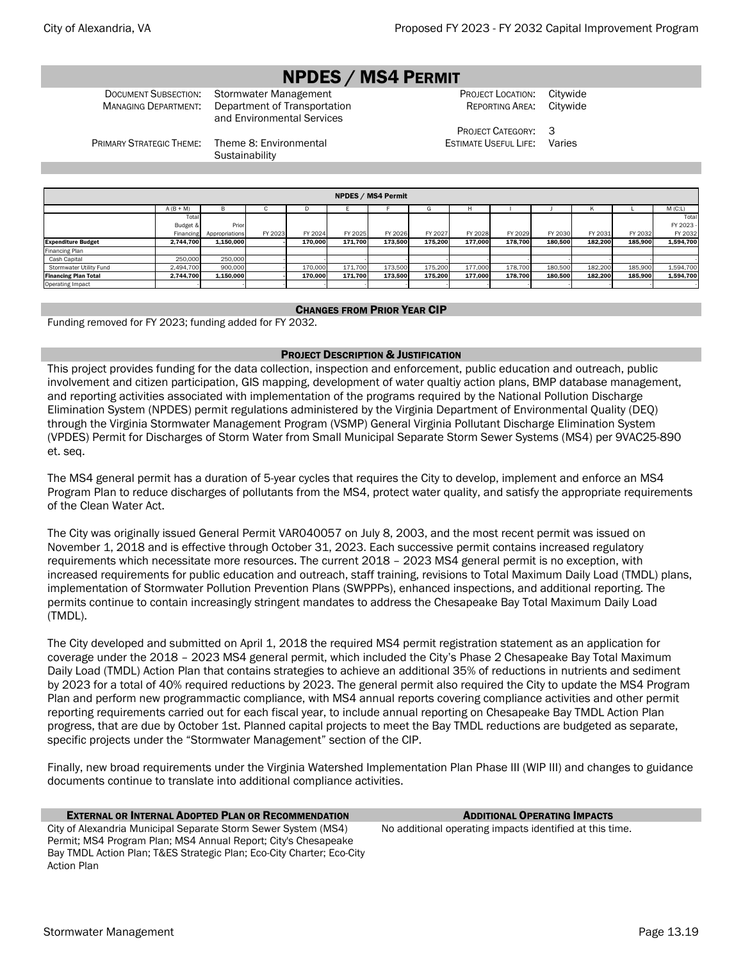# NPDES / MS4 PERMIT

MANAGING DEPARTMENT: Department of Transportation and Environmental Services

### DOCUMENT SUBSECTION: Stormwater Management PROJECT LOCATION: Citywide REPORTING AREA: Citywide

PROJECT CATEGORY: 3 ESTIMATE USEFUL LIFE: Varies

PRIMARY STRATEGIC THEME: Theme 8: Environmental

**Sustainability** 

|                             | <b>NPDES / MS4 Permit</b> |                |         |         |         |         |         |         |         |         |         |         |           |  |  |
|-----------------------------|---------------------------|----------------|---------|---------|---------|---------|---------|---------|---------|---------|---------|---------|-----------|--|--|
|                             | $A (B + M)$               | <b>B</b>       | ι.      | D       |         |         |         |         |         |         | ĸ       |         | M(C:L)    |  |  |
|                             | Total                     |                |         |         |         |         |         |         |         |         |         |         | Total     |  |  |
|                             | Budget &                  | Prior          |         |         |         |         |         |         |         |         |         |         | FY 2023   |  |  |
|                             | Financing                 | Appropriations | FY 2023 | FY 2024 | FY 2025 | FY 2026 | FY 2027 | FY 2028 | FY 2029 | FY 2030 | FY 2031 | FY 2032 | FY 2032   |  |  |
| <b>Expenditure Budget</b>   | 2,744,700                 | 1,150,000      |         | 170.000 | 171.700 | 173.500 | 175.200 | 177.000 | 178.700 | 180.500 | 182.200 | 185,900 | 1,594,700 |  |  |
| <b>Financing Plan</b>       |                           |                |         |         |         |         |         |         |         |         |         |         |           |  |  |
| Cash Capital                | 250,000                   | 250,000        |         |         |         |         |         |         |         |         |         |         |           |  |  |
| Stormwater Utility Fund     | 2,494,700                 | 900,000        |         | 170,000 | 171.700 | 173,500 | 175,200 | 177,000 | 178,700 | 180,500 | 182,200 | 185,900 | 1,594,700 |  |  |
| <b>Financing Plan Total</b> | 2,744,700                 | 1,150,000      |         | 170.000 | 171.700 | 173.500 | 175.200 | 177.000 | 178.700 | 180.500 | 182.200 | 185.900 | 1,594,700 |  |  |
| Operating Impact            |                           |                |         |         |         |         |         |         |         |         |         |         |           |  |  |

# CHANGES FROM PRIOR YEAR CIP

Funding removed for FY 2023; funding added for FY 2032.

# PROJECT DESCRIPTION & JUSTIFICATION

This project provides funding for the data collection, inspection and enforcement, public education and outreach, public involvement and citizen participation, GIS mapping, development of water qualtiy action plans, BMP database management, and reporting activities associated with implementation of the programs required by the National Pollution Discharge Elimination System (NPDES) permit regulations administered by the Virginia Department of Environmental Quality (DEQ) through the Virginia Stormwater Management Program (VSMP) General Virginia Pollutant Discharge Elimination System (VPDES) Permit for Discharges of Storm Water from Small Municipal Separate Storm Sewer Systems (MS4) per 9VAC25-890 et. seq.

The MS4 general permit has a duration of 5-year cycles that requires the City to develop, implement and enforce an MS4 Program Plan to reduce discharges of pollutants from the MS4, protect water quality, and satisfy the appropriate requirements of the Clean Water Act.

The City was originally issued General Permit VAR040057 on July 8, 2003, and the most recent permit was issued on November 1, 2018 and is effective through October 31, 2023. Each successive permit contains increased regulatory requirements which necessitate more resources. The current 2018 – 2023 MS4 general permit is no exception, with increased requirements for public education and outreach, staff training, revisions to Total Maximum Daily Load (TMDL) plans, implementation of Stormwater Pollution Prevention Plans (SWPPPs), enhanced inspections, and additional reporting. The permits continue to contain increasingly stringent mandates to address the Chesapeake Bay Total Maximum Daily Load (TMDL).

The City developed and submitted on April 1, 2018 the required MS4 permit registration statement as an application for coverage under the 2018 – 2023 MS4 general permit, which included the City's Phase 2 Chesapeake Bay Total Maximum Daily Load (TMDL) Action Plan that contains strategies to achieve an additional 35% of reductions in nutrients and sediment by 2023 for a total of 40% required reductions by 2023. The general permit also required the City to update the MS4 Program Plan and perform new programmactic compliance, with MS4 annual reports covering compliance activities and other permit reporting requirements carried out for each fiscal year, to include annual reporting on Chesapeake Bay TMDL Action Plan progress, that are due by October 1st. Planned capital projects to meet the Bay TMDL reductions are budgeted as separate, specific projects under the "Stormwater Management" section of the CIP.

Finally, new broad requirements under the Virginia Watershed Implementation Plan Phase III (WIP III) and changes to guidance documents continue to translate into additional compliance activities.

# **EXTERNAL OR INTERNAL ADOPTED PLAN OR RECOMMENDATION** ADDITIONAL **OPERATING IMPACTS**

City of Alexandria Municipal Separate Storm Sewer System (MS4) Permit; MS4 Program Plan; MS4 Annual Report; City's Chesapeake Bay TMDL Action Plan; T&ES Strategic Plan; Eco-City Charter; Eco-City Action Plan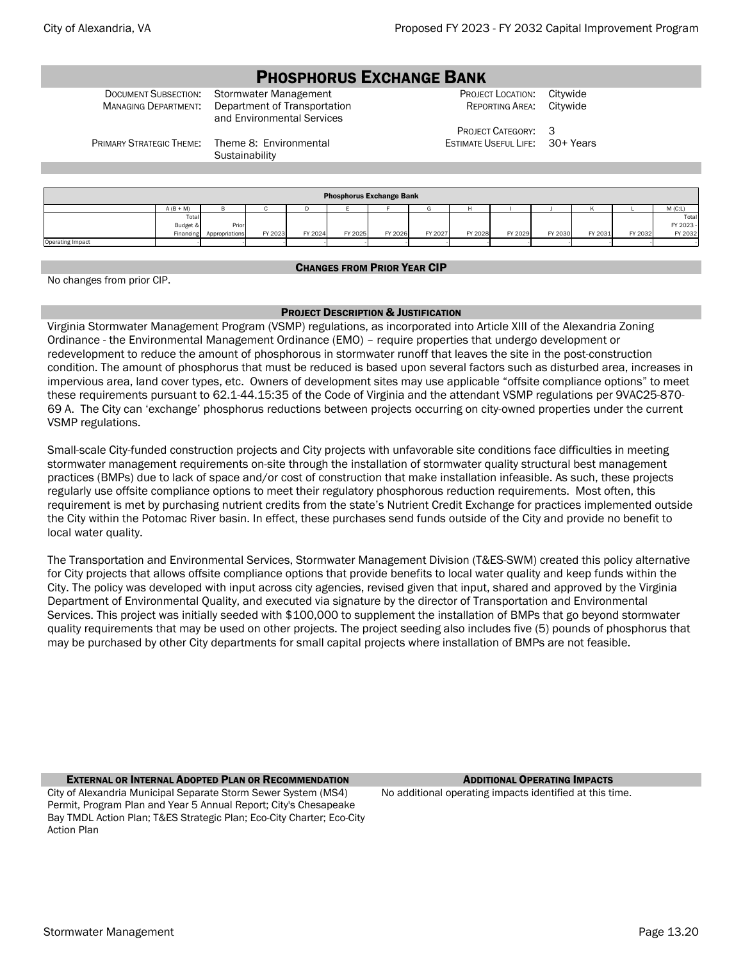# PHOSPHORUS EXCHANGE BANK

DOCUMENT SUBSECTION: Stormwater Management PROJECT LOCATION: Citywide MANAGING DEPARTMENT: Department of Transportation and Environmental Services

REPORTING AREA: Citywide

PROJECT CATEGORY: 3 ESTIMATE USEFUL LIFE: 30+ Years

PRIMARY STRATEGIC THEME: Theme 8: Environmental

**Sustainability** 

|                         |             |                          |         |         | <b>Phosphorus Exchange Bank</b> |         |         |         |         |         |         |         |           |
|-------------------------|-------------|--------------------------|---------|---------|---------------------------------|---------|---------|---------|---------|---------|---------|---------|-----------|
|                         | $A (B + M)$ | D                        |         |         |                                 |         | G       |         |         |         |         |         | M(C:L)    |
|                         | Total       |                          |         |         |                                 |         |         |         |         |         |         |         | Total     |
|                         | Budget &    | Prior                    |         |         |                                 |         |         |         |         |         |         |         | FY 2023 - |
|                         |             | Financing Appropriations | FY 2023 | FY 2024 | FY 2025                         | FY 2026 | FY 2027 | FY 2028 | FY 2029 | FY 2030 | FY 2031 | FY 2032 | FY 2032   |
| <b>Operating Impact</b> |             |                          |         |         |                                 |         |         |         |         |         |         |         |           |

# CHANGES FROM PRIOR YEAR CIP

No changes from prior CIP.

# PROJECT DESCRIPTION & JUSTIFICATION

Virginia Stormwater Management Program (VSMP) regulations, as incorporated into Article XIII of the Alexandria Zoning Ordinance - the Environmental Management Ordinance (EMO) – require properties that undergo development or redevelopment to reduce the amount of phosphorous in stormwater runoff that leaves the site in the post-construction condition. The amount of phosphorus that must be reduced is based upon several factors such as disturbed area, increases in impervious area, land cover types, etc. Owners of development sites may use applicable "offsite compliance options" to meet these requirements pursuant to 62.1-44.15:35 of the Code of Virginia and the attendant VSMP regulations per 9VAC25-870- 69 A. The City can 'exchange' phosphorus reductions between projects occurring on city-owned properties under the current VSMP regulations.

Small-scale City-funded construction projects and City projects with unfavorable site conditions face difficulties in meeting stormwater management requirements on-site through the installation of stormwater quality structural best management practices (BMPs) due to lack of space and/or cost of construction that make installation infeasible. As such, these projects regularly use offsite compliance options to meet their regulatory phosphorous reduction requirements. Most often, this requirement is met by purchasing nutrient credits from the state's Nutrient Credit Exchange for practices implemented outside the City within the Potomac River basin. In effect, these purchases send funds outside of the City and provide no benefit to local water quality.

The Transportation and Environmental Services, Stormwater Management Division (T&ES-SWM) created this policy alternative for City projects that allows offsite compliance options that provide benefits to local water quality and keep funds within the City. The policy was developed with input across city agencies, revised given that input, shared and approved by the Virginia Department of Environmental Quality, and executed via signature by the director of Transportation and Environmental Services. This project was initially seeded with \$100,000 to supplement the installation of BMPs that go beyond stormwater quality requirements that may be used on other projects. The project seeding also includes five (5) pounds of phosphorus that may be purchased by other City departments for small capital projects where installation of BMPs are not feasible.

**EXTERNAL OR INTERNAL ADOPTED PLAN OR RECOMMENDATION** ADDITIONAL **OPERATING IMPACTS** City of Alexandria Municipal Separate Storm Sewer System (MS4) Permit, Program Plan and Year 5 Annual Report; City's Chesapeake Bay TMDL Action Plan; T&ES Strategic Plan; Eco-City Charter; Eco-City Action Plan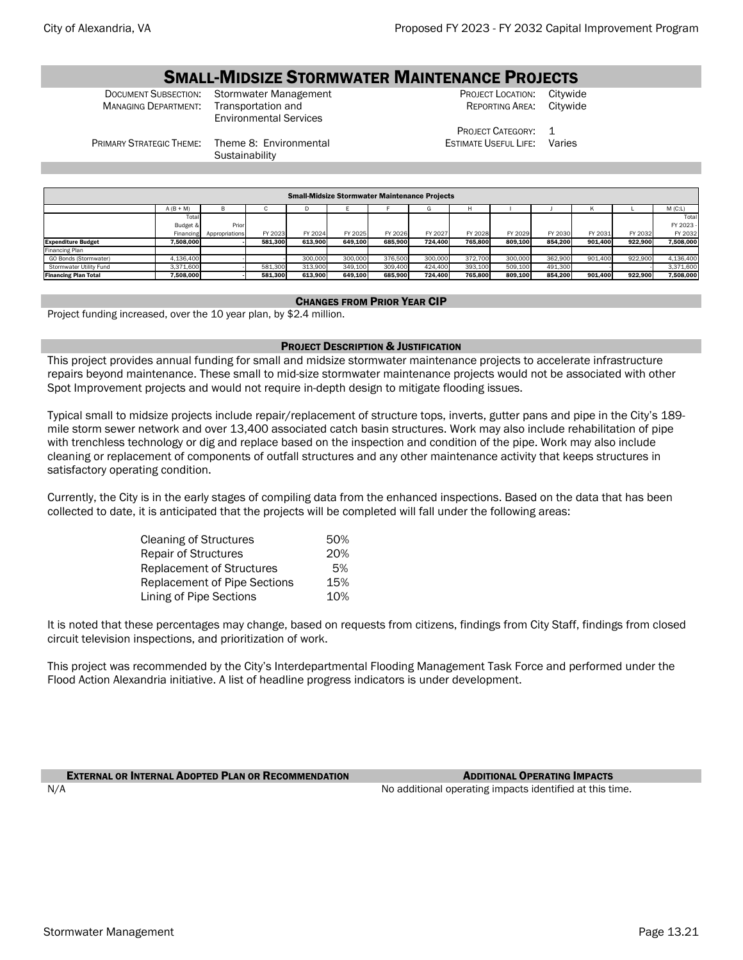# **SMALL-MIDSIZE STORMWATER MAINTENANCE PROJECTS**<br>Document Subsection: Stormwater Management PROJECT LOCATION: Citywic

**MANAGING DEPARTMENT:** 

Environmental Services

Stormwater Management **Subsection:** PROJECT LOCATION: Citywide Transportation and PROJECT LOCATION: PREPORTING AREA: Citywide REPORTING AREA:

> PROJECT CATEGORY: 1 ESTIMATE USEFUL LIFE: Varies

PRIMARY STRATEGIC THEME: Theme 8: Environmental

**Sustainability** 

|                             | <b>Small-Midsize Stormwater Maintenance Projects</b> |                |         |         |         |         |         |         |         |         |         |         |           |  |  |
|-----------------------------|------------------------------------------------------|----------------|---------|---------|---------|---------|---------|---------|---------|---------|---------|---------|-----------|--|--|
|                             | $A (B + M)$                                          | Ð              | ◡       | υ       |         |         |         |         |         |         |         |         | $M$ (C:L) |  |  |
|                             | Total                                                |                |         |         |         |         |         |         |         |         |         |         | Total     |  |  |
|                             | Budget &                                             | Prior          |         |         |         |         |         |         |         |         |         |         | FY 2023 - |  |  |
|                             | Financing                                            | Appropriations | FY 2023 | FY 2024 | FY 2025 | FY 2026 | FY 2027 | FY 2028 | FY 2029 | FY 2030 | FY 2031 | FY 2032 | FY 2032   |  |  |
| <b>Expenditure Budget</b>   | 7.508.000                                            |                | 581.300 | 613.900 | 649.100 | 685.900 | 724.400 | 765.800 | 809.100 | 854.200 | 901.400 | 922.900 | 7.508.000 |  |  |
| Financing Plan              |                                                      |                |         |         |         |         |         |         |         |         |         |         |           |  |  |
| GO Bonds (Stormwater)       | 4.136.400                                            |                |         | 300,000 | 300,000 | 376,500 | 300,000 | 372,700 | 300,000 | 362,900 | 901.400 | 922,900 | 4.136.400 |  |  |
| Stormwater Utility Fund     | 3.371.600                                            |                | 581.300 | 313,900 | 349.100 | 309,400 | 424.400 | 393.100 | 509.100 | 491,300 |         |         | 3,371,600 |  |  |
| <b>Financing Plan Total</b> | 7,508,000                                            |                | 581,300 | 613,900 | 649,100 | 685,900 | 724.400 | 765,800 | 809,100 | 854.200 | 901.400 | 922.900 | 7.508.000 |  |  |

### CHANGES FROM PRIOR YEAR CIP

Project funding increased, over the 10 year plan, by \$2.4 million.

# PROJECT DESCRIPTION & JUSTIFICATION

This project provides annual funding for small and midsize stormwater maintenance projects to accelerate infrastructure repairs beyond maintenance. These small to mid-size stormwater maintenance projects would not be associated with other Spot Improvement projects and would not require in-depth design to mitigate flooding issues.

Typical small to midsize projects include repair/replacement of structure tops, inverts, gutter pans and pipe in the City's 189 mile storm sewer network and over 13,400 associated catch basin structures. Work may also include rehabilitation of pipe with trenchless technology or dig and replace based on the inspection and condition of the pipe. Work may also include cleaning or replacement of components of outfall structures and any other maintenance activity that keeps structures in satisfactory operating condition.

Currently, the City is in the early stages of compiling data from the enhanced inspections. Based on the data that has been collected to date, it is anticipated that the projects will be completed will fall under the following areas:

| 50% |
|-----|
| 20% |
| .5% |
| 15% |
| 10% |
|     |

It is noted that these percentages may change, based on requests from citizens, findings from City Staff, findings from closed circuit television inspections, and prioritization of work.

This project was recommended by the City's Interdepartmental Flooding Management Task Force and performed under the Flood Action Alexandria initiative. A list of headline progress indicators is under development.

**EXTERNAL OR INTERNAL ADOPTED PLAN OR RECOMMENDATION** ADDITIONAL **OPERATING IMPACTS** 

N/A  $\blacksquare$  No additional operating impacts identified at this time.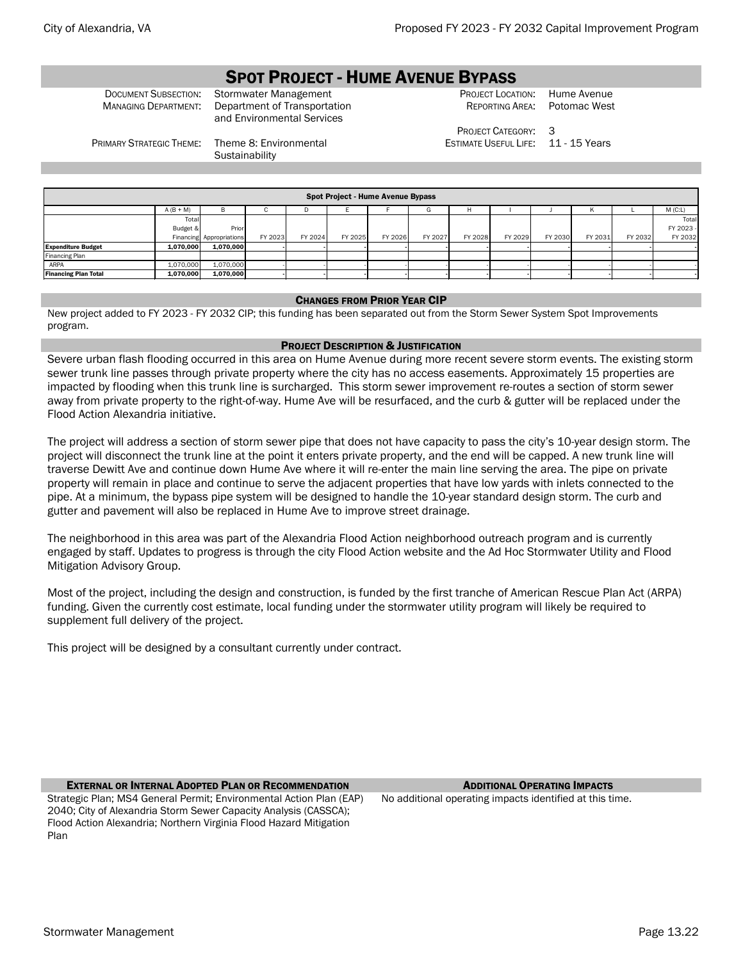# SPOT PROJECT - HUME AVENUE BYPASS

DOCUMENT SUBSECTION: Stormwater Management PROJECT LOCATION: Hume Avenue<br>Managing Department: Department of Transportation Reporting Area: Potomac West Department of Transportation and Environmental Services

REPORTING AREA:

PROJECT CATEGORY: 3 ESTIMATE USEFUL LIFE: 11 - 15 Years

PRIMARY STRATEGIC THEME: Theme 8: Environmental

**Sustainability** 

|                             | Spot Project - Hume Avenue Bypass |                          |         |         |         |         |         |         |         |         |         |         |           |  |  |
|-----------------------------|-----------------------------------|--------------------------|---------|---------|---------|---------|---------|---------|---------|---------|---------|---------|-----------|--|--|
|                             |                                   |                          |         |         |         |         |         |         |         |         |         |         |           |  |  |
|                             | $A (B + M)$                       | в                        | ι.      | υ       |         |         | G       |         |         |         |         |         | M(C:L)    |  |  |
|                             | Total                             |                          |         |         |         |         |         |         |         |         |         |         | Total     |  |  |
|                             | Budget &                          | Prior                    |         |         |         |         |         |         |         |         |         |         | FY 2023 - |  |  |
|                             |                                   | Financing Appropriations | FY 2023 | FY 2024 | FY 2025 | FY 2026 | FY 2027 | FY 2028 | FY 2029 | FY 2030 | FY 2031 | FY 2032 | FY 2032   |  |  |
| <b>Expenditure Budget</b>   | 1.070.000                         | 1.070.000                |         |         |         |         |         |         |         |         |         |         |           |  |  |
| Financing Plan              |                                   |                          |         |         |         |         |         |         |         |         |         |         |           |  |  |
| ARPA                        | 1.070.000                         | 1,070,000                |         |         |         |         |         |         |         |         |         |         |           |  |  |
| <b>Financing Plan Total</b> | 1,070,000                         | 1,070,000                |         |         |         |         |         |         |         |         |         |         |           |  |  |
|                             |                                   |                          |         |         |         |         |         |         |         |         |         |         |           |  |  |

### CHANGES FROM PRIOR YEAR CIP

New project added to FY 2023 - FY 2032 CIP; this funding has been separated out from the Storm Sewer System Spot Improvements program.

### PROJECT DESCRIPTION & JUSTIFICATION

Severe urban flash flooding occurred in this area on Hume Avenue during more recent severe storm events. The existing storm sewer trunk line passes through private property where the city has no access easements. Approximately 15 properties are impacted by flooding when this trunk line is surcharged. This storm sewer improvement re-routes a section of storm sewer away from private property to the right-of-way. Hume Ave will be resurfaced, and the curb & gutter will be replaced under the Flood Action Alexandria initiative.

The project will address a section of storm sewer pipe that does not have capacity to pass the city's 10-year design storm. The project will disconnect the trunk line at the point it enters private property, and the end will be capped. A new trunk line will traverse Dewitt Ave and continue down Hume Ave where it will re-enter the main line serving the area. The pipe on private property will remain in place and continue to serve the adjacent properties that have low yards with inlets connected to the pipe. At a minimum, the bypass pipe system will be designed to handle the 10-year standard design storm. The curb and gutter and pavement will also be replaced in Hume Ave to improve street drainage.

The neighborhood in this area was part of the Alexandria Flood Action neighborhood outreach program and is currently engaged by staff. Updates to progress is through the city Flood Action website and the Ad Hoc Stormwater Utility and Flood Mitigation Advisory Group.

Most of the project, including the design and construction, is funded by the first tranche of American Rescue Plan Act (ARPA) funding. Given the currently cost estimate, local funding under the stormwater utility program will likely be required to supplement full delivery of the project.

This project will be designed by a consultant currently under contract.

# EXTERNAL OR INTERNAL ADOPTED PLAN OR RECOMMENDATION ADDITIONAL OPERATING IMPACTS

Strategic Plan; MS4 General Permit; Environmental Action Plan (EAP) 2040; City of Alexandria Storm Sewer Capacity Analysis (CASSCA); Flood Action Alexandria; Northern Virginia Flood Hazard Mitigation Plan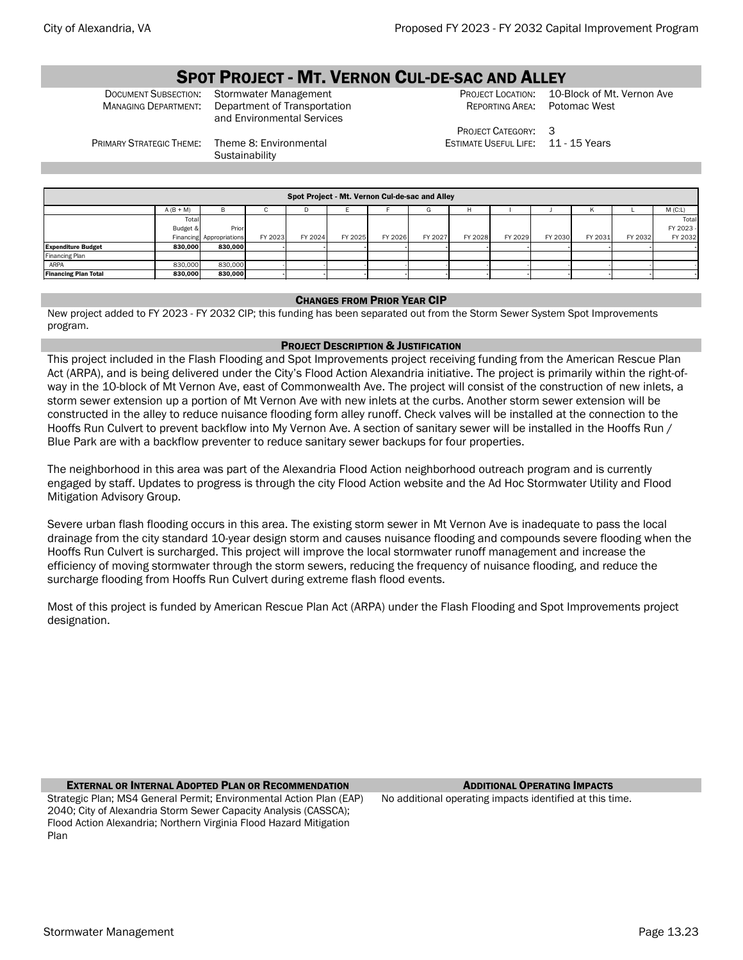# **SPOT PROJECT - MT. VERNON CUL-DE-SAC AND ALLEY**<br>Document Subsection: Stormwater Management PROJECT LOCATION: 10-Block of Mt. Vernon Ave

DOCUMENT SUBSECTION: Stormwater Management PROJECT LOCATION: 10-Block of Mt<br>MANAGING DEPARTMENT: Department of Transportation REPORTING AREA: Potomac West Department of Transportation and Environmental Services

REPORTING AREA:

ESTIMATE USEFUL LIFE: 11 - 15 Years

PRIMARY STRATEGIC THEME: Theme 8: Environmental

**Sustainability** 

PROJECT CATEGORY: 3

|                             | Spot Project - Mt. Vernon Cul-de-sac and Alley |                          |         |         |         |         |         |         |         |         |         |         |           |
|-----------------------------|------------------------------------------------|--------------------------|---------|---------|---------|---------|---------|---------|---------|---------|---------|---------|-----------|
|                             | $A (B + M)$                                    | в                        |         | D       |         |         |         | н       |         |         |         |         | $M$ (C:L) |
|                             | Total                                          |                          |         |         |         |         |         |         |         |         |         |         | Total     |
|                             | Budget &                                       | Prior                    |         |         |         |         |         |         |         |         |         |         | FY 2023 - |
|                             |                                                | Financing Appropriations | FY 2023 | FY 2024 | FY 2025 | FY 2026 | FY 2027 | FY 2028 | FY 2029 | FY 2030 | FY 2031 | FY 2032 | FY 2032   |
| <b>Expenditure Budget</b>   | 830,000                                        | 830,000                  |         |         |         |         |         |         |         |         |         |         |           |
| Financing Plan              |                                                |                          |         |         |         |         |         |         |         |         |         |         |           |
| ARPA                        | 830,000                                        | 830,000                  |         |         |         |         |         |         |         |         |         |         |           |
| <b>Financing Plan Total</b> | 830,000                                        | 830,000                  |         |         |         |         |         |         |         |         |         |         |           |
|                             |                                                |                          |         |         |         |         |         |         |         |         |         |         |           |

### CHANGES FROM PRIOR YEAR CIP

New project added to FY 2023 - FY 2032 CIP; this funding has been separated out from the Storm Sewer System Spot Improvements program.

### PROJECT DESCRIPTION & JUSTIFICATION

This project included in the Flash Flooding and Spot Improvements project receiving funding from the American Rescue Plan Act (ARPA), and is being delivered under the City's Flood Action Alexandria initiative. The project is primarily within the right-ofway in the 10-block of Mt Vernon Ave, east of Commonwealth Ave. The project will consist of the construction of new inlets, a storm sewer extension up a portion of Mt Vernon Ave with new inlets at the curbs. Another storm sewer extension will be constructed in the alley to reduce nuisance flooding form alley runoff. Check valves will be installed at the connection to the Hooffs Run Culvert to prevent backflow into My Vernon Ave. A section of sanitary sewer will be installed in the Hooffs Run / Blue Park are with a backflow preventer to reduce sanitary sewer backups for four properties.

The neighborhood in this area was part of the Alexandria Flood Action neighborhood outreach program and is currently engaged by staff. Updates to progress is through the city Flood Action website and the Ad Hoc Stormwater Utility and Flood Mitigation Advisory Group.

Severe urban flash flooding occurs in this area. The existing storm sewer in Mt Vernon Ave is inadequate to pass the local drainage from the city standard 10-year design storm and causes nuisance flooding and compounds severe flooding when the Hooffs Run Culvert is surcharged. This project will improve the local stormwater runoff management and increase the efficiency of moving stormwater through the storm sewers, reducing the frequency of nuisance flooding, and reduce the surcharge flooding from Hooffs Run Culvert during extreme flash flood events.

Most of this project is funded by American Rescue Plan Act (ARPA) under the Flash Flooding and Spot Improvements project designation.

# EXTERNAL OR INTERNAL ADOPTED PLAN OR RECOMMENDATION ADDITIONAL OPERATING IMPACTS

Strategic Plan; MS4 General Permit; Environmental Action Plan (EAP) 2040; City of Alexandria Storm Sewer Capacity Analysis (CASSCA); Flood Action Alexandria; Northern Virginia Flood Hazard Mitigation Plan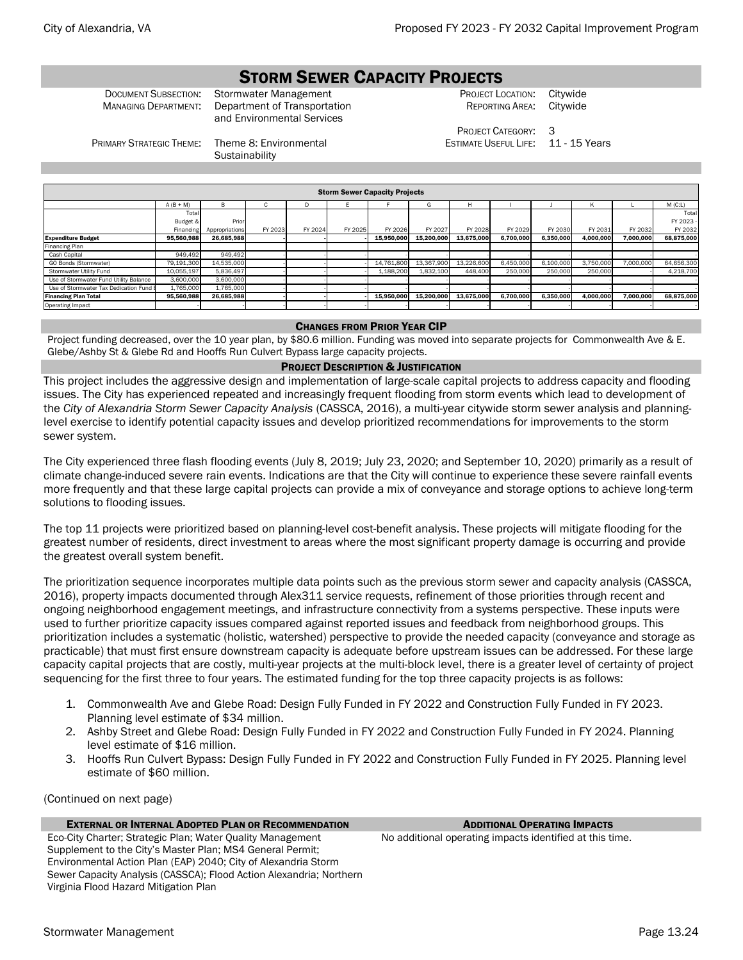# STORM SEWER CAPACITY PROJECTS

Document Subsection: Stormwater Management **FROJECT LOCATION: Citywide** Construction PROJECT LOCATION: Citywide<br>Managing Department: Department of Transportation **FROM PRESECT REPORTING AREA:** Citywide MANAGING DEPARTMENT: Department of Transportation and Environmental Services

REPORTING AREA:

PROJECT CATEGORY: 3 ESTIMATE USEFUL LIFE: 11 - 15 Years

PRIMARY STRATEGIC THEME: Theme 8: Environmental

**Sustainability** 

| <b>Storm Sewer Capacity Projects</b>   |                                                    |                |         |         |         |            |            |            |           |           |           |           |            |
|----------------------------------------|----------------------------------------------------|----------------|---------|---------|---------|------------|------------|------------|-----------|-----------|-----------|-----------|------------|
|                                        | $A (B + M)$<br>B.<br>$M$ (C:L)<br>н<br>c<br>G<br>D |                |         |         |         |            |            |            |           |           |           |           |            |
|                                        | Total                                              |                |         |         |         |            |            |            |           |           |           |           | Total      |
|                                        | Budget &                                           | Prior          |         |         |         |            |            |            |           |           |           |           | FY 2023 -  |
|                                        | Financing                                          | Appropriations | FY 2023 | FY 2024 | FY 2025 | FY 2026    | FY 2027    | FY 2028    | FY 2029   | FY 2030   | FY 2031   | FY 2032   | FY 2032    |
| <b>Expenditure Budget</b>              | 95,560,988                                         | 26,685,988     |         |         |         | 15.950.000 | 15.200.000 | 13.675.000 | 6.700.000 | 6,350,000 | 4.000.000 | 7.000.000 | 68,875,000 |
| Financing Plan                         |                                                    |                |         |         |         |            |            |            |           |           |           |           |            |
| Cash Capital                           | 949.492                                            | 949.492        |         |         |         |            |            |            |           |           |           |           |            |
| GO Bonds (Stormwater)                  | 79,191,300                                         | 14,535,000     |         |         |         | 14,761,800 | 13,367,900 | 13,226,600 | 6,450,000 | 6,100,000 | 3,750,000 | 7,000,000 | 64,656,300 |
| Stormwater Utility Fund                | 10.055.197                                         | 5,836,497      |         |         |         | 1.188.200  | 1.832.100  | 448,400    | 250,000   | 250,000   | 250,000   |           | 4.218.700  |
| Use of Stormwater Fund Utility Balance | 3,600,000                                          | 3,600,000      |         |         |         |            |            |            |           |           |           |           |            |
| Use of Stormwater Tax Dedication Fund  | 1,765,000                                          | 1,765,000      |         |         |         |            |            |            |           |           |           |           |            |
| <b>Financing Plan Total</b>            | 95,560,988                                         | 26,685,988     |         |         |         | 15,950,000 | 15,200,000 | 13,675,000 | 6,700,000 | 6,350,000 | 4,000,000 | 7,000,000 | 68,875,000 |
| Operating Impact                       |                                                    |                |         |         |         |            |            |            |           |           |           |           |            |

# CHANGES FROM PRIOR YEAR CIP

Project funding decreased, over the 10 year plan, by \$80.6 million. Funding was moved into separate projects for Commonwealth Ave & E. Glebe/Ashby St & Glebe Rd and Hooffs Run Culvert Bypass large capacity projects.

# PROJECT DESCRIPTION & JUSTIFICATION

This project includes the aggressive design and implementation of large-scale capital projects to address capacity and flooding issues. The City has experienced repeated and increasingly frequent flooding from storm events which lead to development of the *City of Alexandria Storm Sewer Capacity Analysis* (CASSCA, 2016), a multi-year citywide storm sewer analysis and planninglevel exercise to identify potential capacity issues and develop prioritized recommendations for improvements to the storm sewer system.

The City experienced three flash flooding events (July 8, 2019; July 23, 2020; and September 10, 2020) primarily as a result of climate change-induced severe rain events. Indications are that the City will continue to experience these severe rainfall events more frequently and that these large capital projects can provide a mix of conveyance and storage options to achieve long-term solutions to flooding issues.

The top 11 projects were prioritized based on planning-level cost-benefit analysis. These projects will mitigate flooding for the greatest number of residents, direct investment to areas where the most significant property damage is occurring and provide the greatest overall system benefit.

The prioritization sequence incorporates multiple data points such as the previous storm sewer and capacity analysis (CASSCA, 2016), property impacts documented through Alex311 service requests, refinement of those priorities through recent and ongoing neighborhood engagement meetings, and infrastructure connectivity from a systems perspective. These inputs were used to further prioritize capacity issues compared against reported issues and feedback from neighborhood groups. This prioritization includes a systematic (holistic, watershed) perspective to provide the needed capacity (conveyance and storage as practicable) that must first ensure downstream capacity is adequate before upstream issues can be addressed. For these large capacity capital projects that are costly, multi-year projects at the multi-block level, there is a greater level of certainty of project sequencing for the first three to four years. The estimated funding for the top three capacity projects is as follows:

- 1. Commonwealth Ave and Glebe Road: Design Fully Funded in FY 2022 and Construction Fully Funded in FY 2023. Planning level estimate of \$34 million.
- 2. Ashby Street and Glebe Road: Design Fully Funded in FY 2022 and Construction Fully Funded in FY 2024. Planning level estimate of \$16 million.
- 3. Hooffs Run Culvert Bypass: Design Fully Funded in FY 2022 and Construction Fully Funded in FY 2025. Planning level estimate of \$60 million.

(Continued on next page)

# **EXTERNAL OR INTERNAL ADOPTED PLAN OR RECOMMENDATION** ADDITIONAL **OPERATING IMPACTS**

Eco-City Charter; Strategic Plan; Water Quality Management Supplement to the City's Master Plan; MS4 General Permit; Environmental Action Plan (EAP) 2040; City of Alexandria Storm Sewer Capacity Analysis (CASSCA); Flood Action Alexandria; Northern Virginia Flood Hazard Mitigation Plan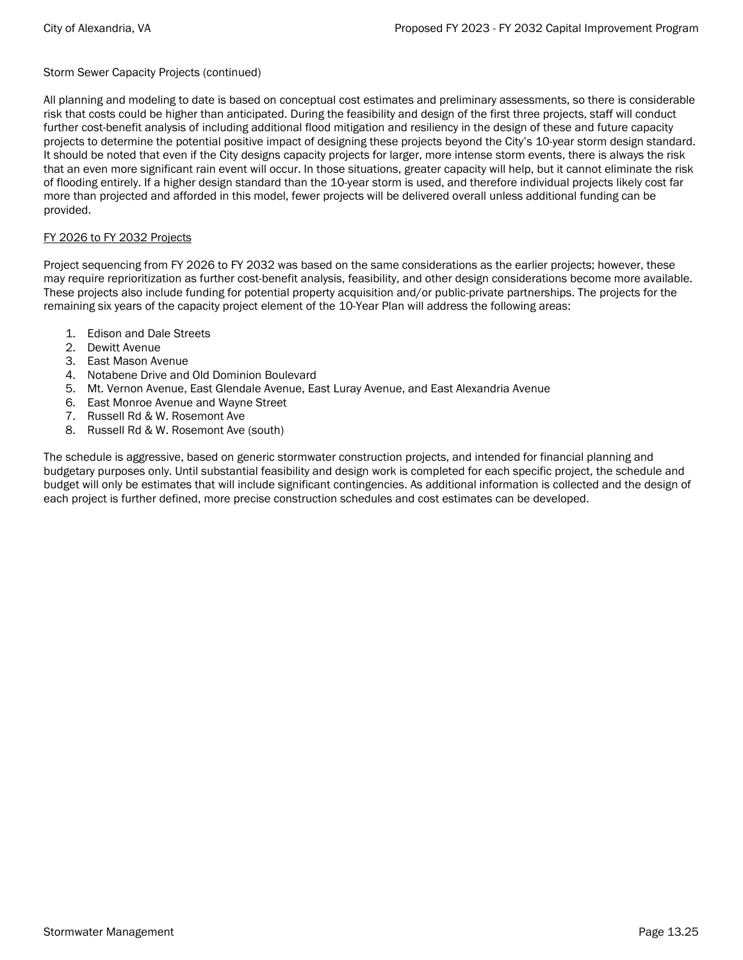Storm Sewer Capacity Projects (continued)

All planning and modeling to date is based on conceptual cost estimates and preliminary assessments, so there is considerable risk that costs could be higher than anticipated. During the feasibility and design of the first three projects, staff will conduct further cost-benefit analysis of including additional flood mitigation and resiliency in the design of these and future capacity projects to determine the potential positive impact of designing these projects beyond the City's 10-year storm design standard. It should be noted that even if the City designs capacity projects for larger, more intense storm events, there is always the risk that an even more significant rain event will occur. In those situations, greater capacity will help, but it cannot eliminate the risk of flooding entirely. If a higher design standard than the 10-year storm is used, and therefore individual projects likely cost far more than projected and afforded in this model, fewer projects will be delivered overall unless additional funding can be provided.

# FY 2026 to FY 2032 Projects

Project sequencing from FY 2026 to FY 2032 was based on the same considerations as the earlier projects; however, these may require reprioritization as further cost-benefit analysis, feasibility, and other design considerations become more available. These projects also include funding for potential property acquisition and/or public-private partnerships. The projects for the remaining six years of the capacity project element of the 10-Year Plan will address the following areas:

- 1. Edison and Dale Streets
- 2. Dewitt Avenue
- 3. East Mason Avenue
- 4. Notabene Drive and Old Dominion Boulevard
- 5. Mt. Vernon Avenue, East Glendale Avenue, East Luray Avenue, and East Alexandria Avenue
- 6. East Monroe Avenue and Wayne Street
- 7. Russell Rd & W. Rosemont Ave
- 8. Russell Rd & W. Rosemont Ave (south)

The schedule is aggressive, based on generic stormwater construction projects, and intended for financial planning and budgetary purposes only. Until substantial feasibility and design work is completed for each specific project, the schedule and budget will only be estimates that will include significant contingencies. As additional information is collected and the design of each project is further defined, more precise construction schedules and cost estimates can be developed.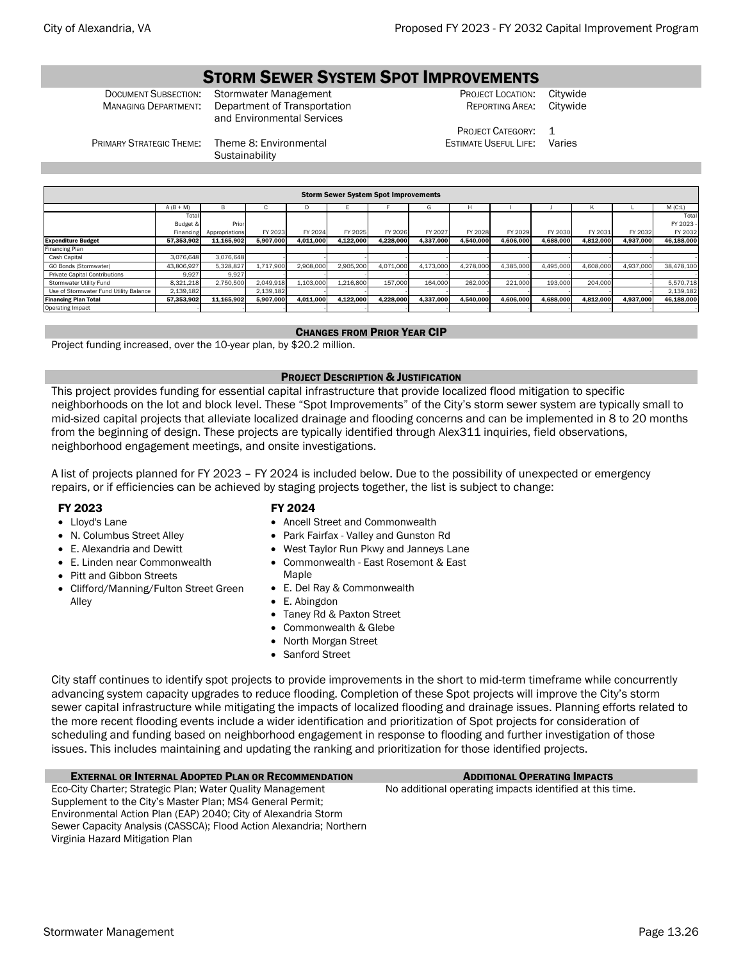# STORM SEWER SYSTEM SPOT IMPROVEMENTS

**DOCUMENT SUBSECTION: Stormwater Management PROJECT LOCATION: Citywide MANAGING DEPARTMENT: Department of Transportation REPORTING AREA: Citywide** Department of Transportation and Environmental Services

REPORTING AREA:

PROJECT CATEGORY: 1 ESTIMATE USEFUL LIFE: Varies

PRIMARY STRATEGIC THEME: Theme 8: Environmental

**Sustainability** 

| <b>Storm Sewer System Spot Improvements</b> |             |                |           |           |           |           |           |           |           |           |           |           |            |
|---------------------------------------------|-------------|----------------|-----------|-----------|-----------|-----------|-----------|-----------|-----------|-----------|-----------|-----------|------------|
|                                             | $A (B + M)$ | B              | u         | ш         |           |           | G         | H         |           |           |           |           | $M$ (C:L)  |
|                                             | Total       |                |           |           |           |           |           |           |           |           |           |           | Total      |
|                                             | Budget &    | Prior          |           |           |           |           |           |           |           |           |           |           | FY 2023 -  |
|                                             | Financing   | Appropriations | FY 2023   | FY 2024   | FY 2025   | FY 2026   | FY 2027   | FY 2028   | FY 2029   | FY 2030   | FY 2031   | FY 2032   | FY 2032    |
| <b>Expenditure Budget</b>                   | 57.353.902  | 11.165.902     | 5.907.000 | 4,011,000 | 4.122.000 | 4.228.000 | 4.337.000 | 4.540.000 | 4.606.000 | 4.688.000 | 4,812,000 | 4.937.000 | 46.188.000 |
| Financing Plan                              |             |                |           |           |           |           |           |           |           |           |           |           |            |
| Cash Capital                                | 3.076.648   | 3.076.648      |           |           |           |           |           |           |           |           |           |           |            |
| GO Bonds (Stormwater)                       | 43.806.927  | 5,328,827      | 1.717.900 | 2,908,000 | 2.905.200 | 4.071.000 | 4.173.000 | 4.278.000 | 4.385.000 | 4.495.000 | 4.608.000 | 4.937.000 | 38.478.100 |
| <b>Private Capital Contributions</b>        | 9.927       | 9.927          |           |           |           |           |           |           |           |           |           |           |            |
| Stormwater Utility Fund                     | 8,321,218   | 2.750.500      | 2.049.918 | 1.103.000 | 1.216.800 | 157.000   | 164.000   | 262,000   | 221,000   | 193,000   | 204,000   |           | 5,570,718  |
| Use of Stormwater Fund Utility Balance      | 2,139,182   |                | 2,139,182 |           |           |           |           |           |           |           |           |           | 2,139,182  |
| <b>Financing Plan Total</b>                 | 57.353.902  | 11,165,902     | 5.907.000 | 4.011.000 | 4.122.000 | 4,228,000 | 4.337.000 | 4.540.000 | 4.606.000 | 4,688,000 | 4.812.000 | 4,937,000 | 46.188.000 |
| <b>Operating Impact</b>                     |             |                |           |           |           |           |           |           |           |           |           |           |            |

# CHANGES FROM PRIOR YEAR CIP

Project funding increased, over the 10-year plan, by \$20.2 million.

# PROJECT DESCRIPTION & JUSTIFICATION

This project provides funding for essential capital infrastructure that provide localized flood mitigation to specific neighborhoods on the lot and block level. These "Spot Improvements" of the City's storm sewer system are typically small to mid-sized capital projects that alleviate localized drainage and flooding concerns and can be implemented in 8 to 20 months from the beginning of design. These projects are typically identified through Alex311 inquiries, field observations, neighborhood engagement meetings, and onsite investigations.

A list of projects planned for FY 2023 – FY 2024 is included below. Due to the possibility of unexpected or emergency repairs, or if efficiencies can be achieved by staging projects together, the list is subject to change:

# FY 2023

Alley

• Lloyd's Lane

• N. Columbus Street Alley • E. Alexandria and Dewitt • E. Linden near Commonwealth • Pitt and Gibbon Streets

• Clifford/Manning/Fulton Street Green

# FY 2024

- Ancell Street and Commonwealth
- Park Fairfax Valley and Gunston Rd
- West Taylor Run Pkwy and Janneys Lane
- Commonwealth East Rosemont & East

# Maple

- E. Del Ray & Commonwealth
- E. Abingdon
- Taney Rd & Paxton Street
- Commonwealth & Glebe
- North Morgan Street
- Sanford Street

City staff continues to identify spot projects to provide improvements in the short to mid-term timeframe while concurrently advancing system capacity upgrades to reduce flooding. Completion of these Spot projects will improve the City's storm sewer capital infrastructure while mitigating the impacts of localized flooding and drainage issues. Planning efforts related to the more recent flooding events include a wider identification and prioritization of Spot projects for consideration of scheduling and funding based on neighborhood engagement in response to flooding and further investigation of those issues. This includes maintaining and updating the ranking and prioritization for those identified projects.

# EXTERNAL OR INTERNAL ADOPTED PLAN OR RECOMMENDATION ADDITIONAL OPERATING IMPACTS

Eco-City Charter; Strategic Plan; Water Quality Management Supplement to the City's Master Plan; MS4 General Permit; Environmental Action Plan (EAP) 2040; City of Alexandria Storm Sewer Capacity Analysis (CASSCA); Flood Action Alexandria; Northern Virginia Hazard Mitigation Plan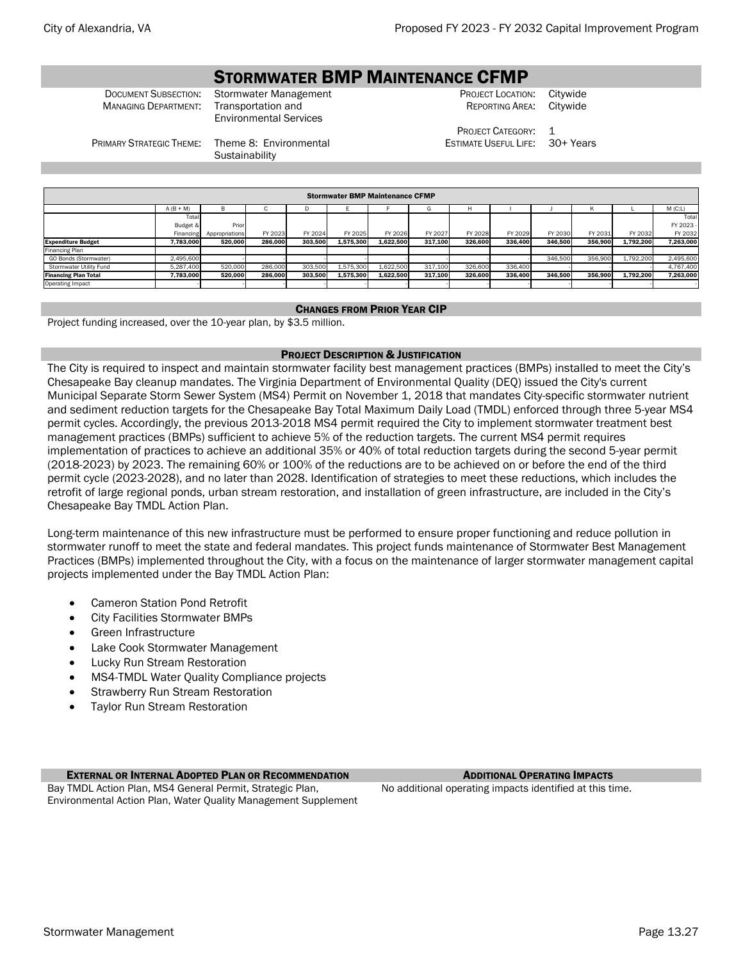# STORMWATER BMP MAINTENANCE CFMP

**MANAGING DEPARTMENT:** 

Environmental Services

**DOCUMENT SUBSECTION:** Stormwater Management **CHANAGE CONSTRET CONSTRET LOCATION: Citywide** Computer Construction<br>Managing Department: Transportation and REPORTING AREA:

> PROJECT CATEGORY: 1 ESTIMATE USEFUL LIFE: 30+ Years

PRIMARY STRATEGIC THEME: Theme 8: Environmental **Sustainability** 

| <b>Stormwater BMP Maintenance CFMP</b> |             |                |         |         |           |           |         |         |         |         |         |           |           |
|----------------------------------------|-------------|----------------|---------|---------|-----------|-----------|---------|---------|---------|---------|---------|-----------|-----------|
|                                        | $A (B + M)$ |                |         |         |           |           | G       |         |         |         |         |           | M(C:L)    |
|                                        | Total       |                |         |         |           |           |         |         |         |         |         |           | Total     |
|                                        | Budget &    | Prior          |         |         |           |           |         |         |         |         |         |           | FY 2023 - |
|                                        | Financing   | Appropriations | FY 2023 | FY 2024 | FY 2025   | FY 2026   | FY 2027 | FY 2028 | FY 2029 | FY 2030 | FY 2031 | FY 2032   | FY 2032   |
| <b>Expenditure Budget</b>              | 7.783.000   | 520.000        | 286.000 | 303.500 | 1.575.300 | 1.622.500 | 317.100 | 326.600 | 336.400 | 346.500 | 356.900 | 1.792.200 | 7.263.000 |
| Financing Plan                         |             |                |         |         |           |           |         |         |         |         |         |           |           |
| GO Bonds (Stormwater)                  | 2.495.600   |                |         |         |           |           |         |         |         | 346,500 | 356,900 | 1.792.200 | 2,495,600 |
| Stormwater Utility Fund                | 5.287.400   | 520,000        | 286,000 | 303,500 | 1.575.300 | 1,622,500 | 317.100 | 326,600 | 336,400 |         |         |           | 4.767.400 |
| <b>Financing Plan Total</b>            | 7.783.000   | 520.000        | 286.000 | 303.500 | 1.575.300 | 1.622.500 | 317.100 | 326.600 | 336.400 | 346.500 | 356.900 | 1.792.200 | 7.263.000 |
| Operating Impact                       |             |                |         |         |           |           |         |         |         |         |         |           |           |

# CHANGES FROM PRIOR YEAR CIP

Project funding increased, over the 10-year plan, by \$3.5 million.

# PROJECT DESCRIPTION & JUSTIFICATION

The City is required to inspect and maintain stormwater facility best management practices (BMPs) installed to meet the City's Chesapeake Bay cleanup mandates. The Virginia Department of Environmental Quality (DEQ) issued the City's current Municipal Separate Storm Sewer System (MS4) Permit on November 1, 2018 that mandates City-specific stormwater nutrient and sediment reduction targets for the Chesapeake Bay Total Maximum Daily Load (TMDL) enforced through three 5-year MS4 permit cycles. Accordingly, the previous 2013-2018 MS4 permit required the City to implement stormwater treatment best management practices (BMPs) sufficient to achieve 5% of the reduction targets. The current MS4 permit requires implementation of practices to achieve an additional 35% or 40% of total reduction targets during the second 5-year permit (2018-2023) by 2023. The remaining 60% or 100% of the reductions are to be achieved on or before the end of the third permit cycle (2023-2028), and no later than 2028. Identification of strategies to meet these reductions, which includes the retrofit of large regional ponds, urban stream restoration, and installation of green infrastructure, are included in the City's Chesapeake Bay TMDL Action Plan.

Long-term maintenance of this new infrastructure must be performed to ensure proper functioning and reduce pollution in stormwater runoff to meet the state and federal mandates. This project funds maintenance of Stormwater Best Management Practices (BMPs) implemented throughout the City, with a focus on the maintenance of larger stormwater management capital projects implemented under the Bay TMDL Action Plan:

- Cameron Station Pond Retrofit
- City Facilities Stormwater BMPs
- Green Infrastructure
- Lake Cook Stormwater Management
- Lucky Run Stream Restoration
- MS4-TMDL Water Quality Compliance projects
- Strawberry Run Stream Restoration
- **Taylor Run Stream Restoration**

# **EXTERNAL OR INTERNAL ADOPTED PLAN OR RECOMMENDATION** ADDITIONAL **OPERATING IMPACTS**

Bay TMDL Action Plan, MS4 General Permit, Strategic Plan, Environmental Action Plan, Water Quality Management Supplement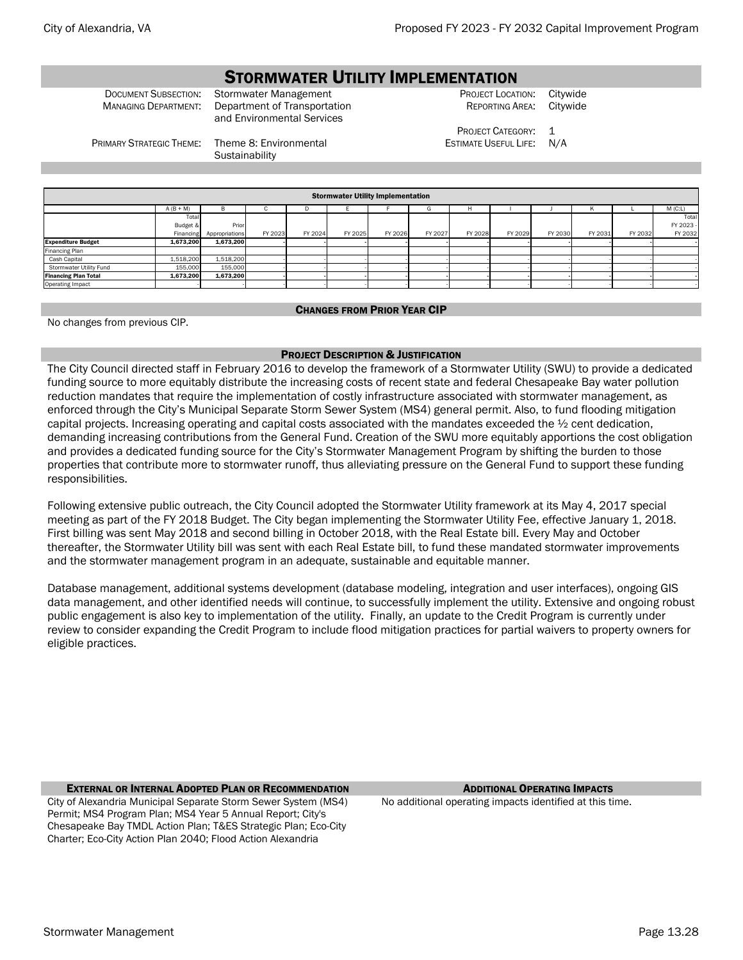# STORMWATER UTILITY IMPLEMENTATION

Document Subsection: Stormwater Management and the Subsect Location: Citywide Communisty Construction of Transportation and the Project Location Reporting Area: Citywide MANAGING DEPARTMENT: Department of Transportation and Environmental Services

REPORTING AREA:

PROJECT CATEGORY: 1 ESTIMATE USEFUL LIFE: N/A

PRIMARY STRATEGIC THEME: Theme 8: Environmental

**Sustainability** 

| <b>Stormwater Utility Implementation</b> |             |                |         |         |         |         |         |         |         |         |         |         |         |
|------------------------------------------|-------------|----------------|---------|---------|---------|---------|---------|---------|---------|---------|---------|---------|---------|
|                                          | $A (B + M)$ | B              | ٠.      | IJ      |         |         | G       | H       |         |         | K       |         | M(C:L)  |
|                                          | Total       |                |         |         |         |         |         |         |         |         |         |         | Total   |
|                                          | Budget &    | Prior          |         |         |         |         |         |         |         |         |         |         | FY 2023 |
|                                          | Financing   | Appropriations | FY 2023 | FY 2024 | FY 2025 | FY 2026 | FY 2027 | FY 2028 | FY 2029 | FY 2030 | FY 2031 | FY 2032 | FY 2032 |
| <b>Expenditure Budget</b>                | 1,673,200   | 1,673,200      |         |         |         |         |         |         |         |         |         |         |         |
| Financing Plan                           |             |                |         |         |         |         |         |         |         |         |         |         |         |
| Cash Capital                             | 1,518,200   | 1,518,200      |         |         |         |         |         |         |         |         |         |         |         |
| Stormwater Utility Fund                  | 155,000     | 155,000        |         |         |         |         |         |         |         |         |         |         |         |
| <b>Financing Plan Total</b>              | 1,673,200   | 1,673,200      |         |         |         |         |         |         |         |         |         |         |         |
| Operating Impact                         |             |                |         |         |         |         |         |         |         |         |         |         |         |

### CHANGES FROM PRIOR YEAR CIP

No changes from previous CIP.

### PROJECT DESCRIPTION & JUSTIFICATION

The City Council directed staff in February 2016 to develop the framework of a Stormwater Utility (SWU) to provide a dedicated funding source to more equitably distribute the increasing costs of recent state and federal Chesapeake Bay water pollution reduction mandates that require the implementation of costly infrastructure associated with stormwater management, as enforced through the City's Municipal Separate Storm Sewer System (MS4) general permit. Also, to fund flooding mitigation capital projects. Increasing operating and capital costs associated with the mandates exceeded the  $\frac{1}{2}$  cent dedication, demanding increasing contributions from the General Fund. Creation of the SWU more equitably apportions the cost obligation and provides a dedicated funding source for the City's Stormwater Management Program by shifting the burden to those properties that contribute more to stormwater runoff, thus alleviating pressure on the General Fund to support these funding responsibilities.

Following extensive public outreach, the City Council adopted the Stormwater Utility framework at its May 4, 2017 special meeting as part of the FY 2018 Budget. The City began implementing the Stormwater Utility Fee, effective January 1, 2018. First billing was sent May 2018 and second billing in October 2018, with the Real Estate bill. Every May and October thereafter, the Stormwater Utility bill was sent with each Real Estate bill, to fund these mandated stormwater improvements and the stormwater management program in an adequate, sustainable and equitable manner.

Database management, additional systems development (database modeling, integration and user interfaces), ongoing GIS data management, and other identified needs will continue, to successfully implement the utility. Extensive and ongoing robust public engagement is also key to implementation of the utility. Finally, an update to the Credit Program is currently under review to consider expanding the Credit Program to include flood mitigation practices for partial waivers to property owners for eligible practices.

**EXTERNAL OR INTERNAL ADOPTED PLAN OR RECOMMENDATION** ADDITIONAL **OPERATING IMPACTS** City of Alexandria Municipal Separate Storm Sewer System (MS4) Permit; MS4 Program Plan; MS4 Year 5 Annual Report; City's Chesapeake Bay TMDL Action Plan; T&ES Strategic Plan; Eco-City Charter; Eco-City Action Plan 2040; Flood Action Alexandria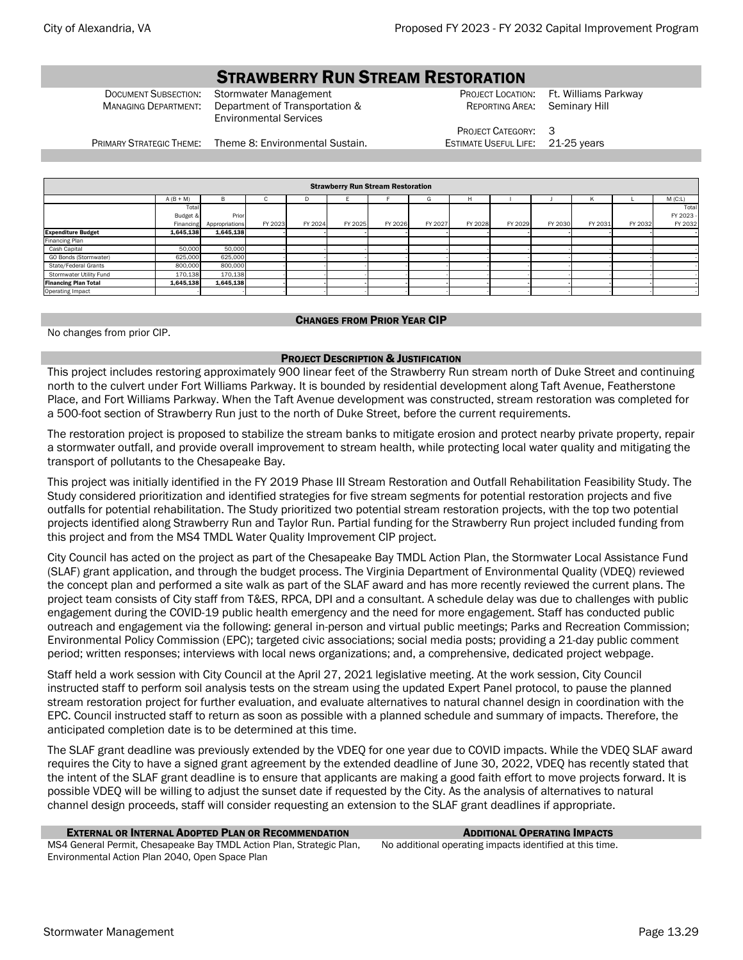# STRAWBERRY RUN STREAM RESTORATION

Document Subsection: Stormwater Management <br>
Managing Department: Department of Transportation & Reporting Area: Seminary Hill MANAGING DEPARTMENT: Department of Transportation & Environmental Services

Seminary Hill

PRIMARY STRATEGIC THEME: Theme 8: Environmental Sustain. **ESTIMATE USEFUL LIFE:** 21-25 years

PROJECT CATEGORY:

|                             | <b>Strawberry Run Stream Restoration</b> |                |          |         |         |         |         |         |         |         |         |         |           |
|-----------------------------|------------------------------------------|----------------|----------|---------|---------|---------|---------|---------|---------|---------|---------|---------|-----------|
|                             | $A (B + M)$                              | в              | <b>U</b> | D       |         |         | G       | н       |         |         | K       |         | M(C:L)    |
|                             | Tota                                     |                |          |         |         |         |         |         |         |         |         |         | Total     |
|                             | Budget &                                 | Prior          |          |         |         |         |         |         |         |         |         |         | FY 2023 - |
|                             | Financing                                | Appropriations | FY 2023  | FY 2024 | FY 2025 | FY 2026 | FY 2027 | FY 2028 | FY 2029 | FY 2030 | FY 2031 | FY 2032 | FY 2032   |
| <b>Expenditure Budget</b>   | 1,645,138                                | 1,645,138      |          |         |         |         |         |         |         |         |         |         |           |
| Financing Plan              |                                          |                |          |         |         |         |         |         |         |         |         |         |           |
| Cash Capital                | 50,000                                   | 50,000         |          |         |         |         |         |         |         |         |         |         |           |
| GO Bonds (Stormwater)       | 625,000                                  | 625,000        |          |         |         |         |         |         |         |         |         |         |           |
| State/Federal Grants        | 800,000                                  | 800,000        |          |         |         |         |         |         |         |         |         |         |           |
| Stormwater Utility Fund     | 170,138                                  | 170,138        |          |         |         |         |         |         |         |         |         |         |           |
| <b>Financing Plan Total</b> | 1,645,138                                | 1,645,138      |          |         |         |         |         |         |         |         |         |         |           |
| Operating Impact            |                                          |                |          |         |         |         |         |         |         |         |         |         |           |

### CHANGES FROM PRIOR YEAR CIP

No changes from prior CIP.

#### PROJECT DESCRIPTION & JUSTIFICATION

This project includes restoring approximately 900 linear feet of the Strawberry Run stream north of Duke Street and continuing north to the culvert under Fort Williams Parkway. It is bounded by residential development along Taft Avenue, Featherstone Place, and Fort Williams Parkway. When the Taft Avenue development was constructed, stream restoration was completed for a 500-foot section of Strawberry Run just to the north of Duke Street, before the current requirements.

The restoration project is proposed to stabilize the stream banks to mitigate erosion and protect nearby private property, repair a stormwater outfall, and provide overall improvement to stream health, while protecting local water quality and mitigating the transport of pollutants to the Chesapeake Bay.

This project was initially identified in the FY 2019 Phase III Stream Restoration and Outfall Rehabilitation Feasibility Study. The Study considered prioritization and identified strategies for five stream segments for potential restoration projects and five outfalls for potential rehabilitation. The Study prioritized two potential stream restoration projects, with the top two potential projects identified along Strawberry Run and Taylor Run. Partial funding for the Strawberry Run project included funding from this project and from the MS4 TMDL Water Quality Improvement CIP project.

City Council has acted on the project as part of the Chesapeake Bay TMDL Action Plan, the Stormwater Local Assistance Fund (SLAF) grant application, and through the budget process. The Virginia Department of Environmental Quality (VDEQ) reviewed the concept plan and performed a site walk as part of the SLAF award and has more recently reviewed the current plans. The project team consists of City staff from T&ES, RPCA, DPI and a consultant. A schedule delay was due to challenges with public engagement during the COVID-19 public health emergency and the need for more engagement. Staff has conducted public outreach and engagement via the following: general in-person and virtual public meetings; Parks and Recreation Commission; Environmental Policy Commission (EPC); targeted civic associations; social media posts; providing a 21-day public comment period; written responses; interviews with local news organizations; and, a comprehensive, dedicated project webpage.

Staff held a work session with City Council at the April 27, 2021 legislative meeting. At the work session, City Council instructed staff to perform soil analysis tests on the stream using the updated Expert Panel protocol, to pause the planned stream restoration project for further evaluation, and evaluate alternatives to natural channel design in coordination with the EPC. Council instructed staff to return as soon as possible with a planned schedule and summary of impacts. Therefore, the anticipated completion date is to be determined at this time.

The SLAF grant deadline was previously extended by the VDEQ for one year due to COVID impacts. While the VDEQ SLAF award requires the City to have a signed grant agreement by the extended deadline of June 30, 2022, VDEQ has recently stated that the intent of the SLAF grant deadline is to ensure that applicants are making a good faith effort to move projects forward. It is possible VDEQ will be willing to adjust the sunset date if requested by the City. As the analysis of alternatives to natural channel design proceeds, staff will consider requesting an extension to the SLAF grant deadlines if appropriate.

### **EXTERNAL OR INTERNAL ADOPTED PLAN OR RECOMMENDATION ADDITIONAL OPERATING IMPACTS**

MS4 General Permit, Chesapeake Bay TMDL Action Plan, Strategic Plan, Environmental Action Plan 2040, Open Space Plan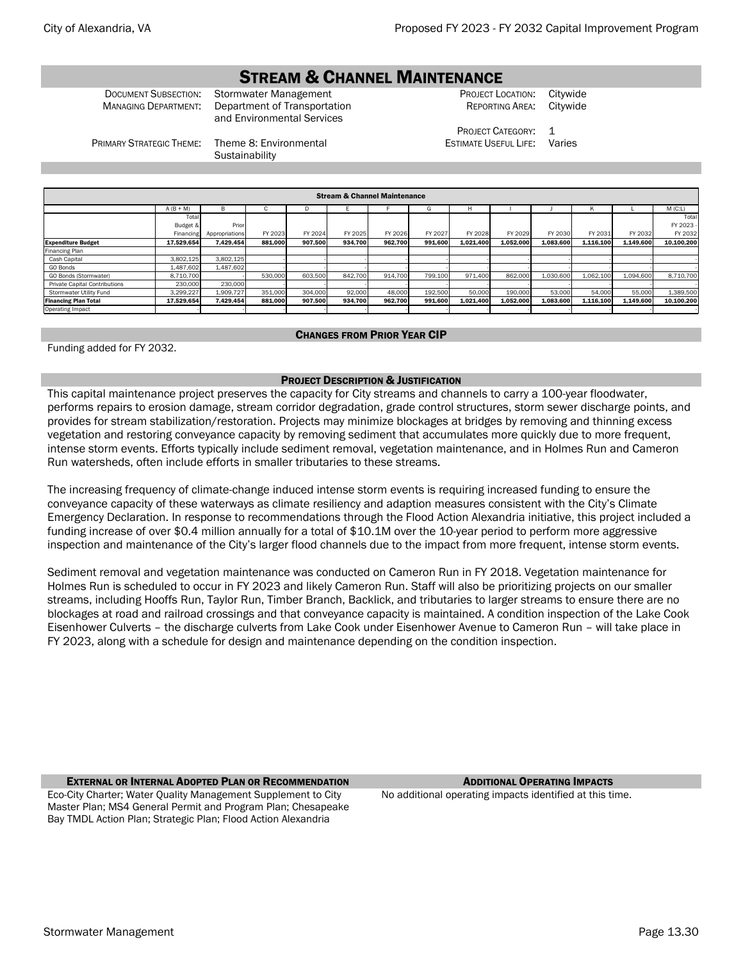# STREAM & CHANNEL MAINTENANCE

Document Subsection: Stormwater Management **FROJECT LOCATION: Citywide** Construction PROJECT LOCATION: Citywide<br>Managing Department: Department of Transportation **FROM PRESECT REPORTING AREA:** Citywide MANAGING DEPARTMENT: Department of Transportation and Environmental Services

REPORTING AREA:

PROJECT CATEGORY: 1 ESTIMATE USEFUL LIFE: Varies

PRIMARY STRATEGIC THEME: Theme 8: Environmental

**Sustainability** 

| <b>Stream &amp; Channel Maintenance</b> |             |                |         |         |         |         |         |           |           |           |           |           |            |
|-----------------------------------------|-------------|----------------|---------|---------|---------|---------|---------|-----------|-----------|-----------|-----------|-----------|------------|
|                                         | $A (B + M)$ | B.             | ι.      |         |         |         | G       | н         |           |           | K         |           | $M$ (C:L)  |
|                                         | Total       |                |         |         |         |         |         |           |           |           |           |           | Total      |
|                                         | Budget &    | Prior          |         |         |         |         |         |           |           |           |           |           | FY 2023 -  |
|                                         | Financing   | Appropriations | FY 2023 | FY 2024 | FY 2025 | FY 2026 | FY 2027 | FY 2028   | FY 2029   | FY 2030   | FY 2031   | FY 2032   | FY 2032    |
| <b>Expenditure Budget</b>               | 17.529.654  | 7.429.454      | 881.000 | 907.500 | 934.700 | 962.700 | 991,600 | 1.021.400 | 1.052.000 | 1.083.600 | 1,116,100 | 1.149.600 | 10.100.200 |
| <b>Financing Plan</b>                   |             |                |         |         |         |         |         |           |           |           |           |           |            |
| Cash Capital                            | 3,802,125   | 3,802,125      |         |         |         |         |         |           |           |           |           |           |            |
| GO Bonds                                | 1,487,602   | 1.487.602      |         |         |         |         |         |           |           |           |           |           |            |
| GO Bonds (Stormwater)                   | 8,710,700   |                | 530,000 | 603,500 | 842,700 | 914,700 | 799,100 | 971,400   | 862,000   | 1,030,600 | 1,062,100 | 1,094,600 | 8,710,700  |
| <b>Private Capital Contributions</b>    | 230,000     | 230,000        |         |         |         |         |         |           |           |           |           |           |            |
| Stormwater Utility Fund                 | 3,299,227   | 1,909,727      | 351,000 | 304,000 | 92,000  | 48,000  | 192,500 | 50,000    | 190,000   | 53,000    | 54,000    | 55,000    | 1,389,500  |
| <b>Financing Plan Total</b>             | 17.529.654  | 7.429.454      | 881,000 | 907,500 | 934.700 | 962.700 | 991,600 | 1,021,400 | 1,052,000 | 1,083,600 | 1,116,100 | 1,149,600 | 10,100,200 |
| <b>Operating Impact</b>                 |             |                |         |         |         |         |         |           |           |           |           |           |            |

# CHANGES FROM PRIOR YEAR CIP

Funding added for FY 2032.

# PROJECT DESCRIPTION & JUSTIFICATION

This capital maintenance project preserves the capacity for City streams and channels to carry a 100-year floodwater, performs repairs to erosion damage, stream corridor degradation, grade control structures, storm sewer discharge points, and provides for stream stabilization/restoration. Projects may minimize blockages at bridges by removing and thinning excess vegetation and restoring conveyance capacity by removing sediment that accumulates more quickly due to more frequent, intense storm events. Efforts typically include sediment removal, vegetation maintenance, and in Holmes Run and Cameron Run watersheds, often include efforts in smaller tributaries to these streams.

The increasing frequency of climate-change induced intense storm events is requiring increased funding to ensure the conveyance capacity of these waterways as climate resiliency and adaption measures consistent with the City's Climate Emergency Declaration. In response to recommendations through the Flood Action Alexandria initiative, this project included a funding increase of over \$0.4 million annually for a total of \$10.1M over the 10-year period to perform more aggressive inspection and maintenance of the City's larger flood channels due to the impact from more frequent, intense storm events.

Sediment removal and vegetation maintenance was conducted on Cameron Run in FY 2018. Vegetation maintenance for Holmes Run is scheduled to occur in FY 2023 and likely Cameron Run. Staff will also be prioritizing projects on our smaller streams, including Hooffs Run, Taylor Run, Timber Branch, Backlick, and tributaries to larger streams to ensure there are no blockages at road and railroad crossings and that conveyance capacity is maintained. A condition inspection of the Lake Cook Eisenhower Culverts – the discharge culverts from Lake Cook under Eisenhower Avenue to Cameron Run – will take place in FY 2023, along with a schedule for design and maintenance depending on the condition inspection.

**EXTERNAL OR INTERNAL ADOPTED PLAN OR RECOMMENDATION** ADDITIONAL **OPERATING IMPACTS** Eco-City Charter; Water Quality Management Supplement to City Master Plan; MS4 General Permit and Program Plan; Chesapeake Bay TMDL Action Plan; Strategic Plan; Flood Action Alexandria